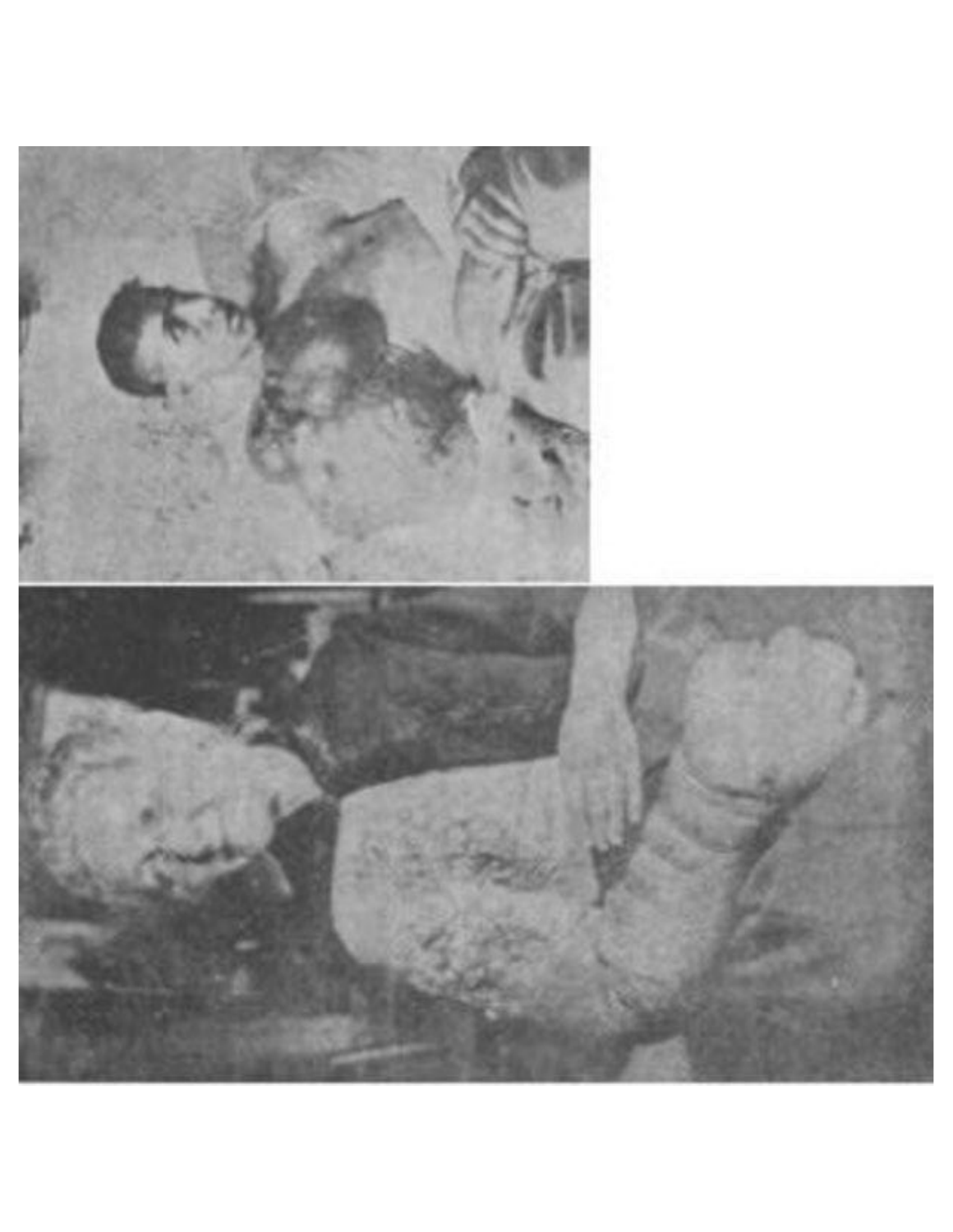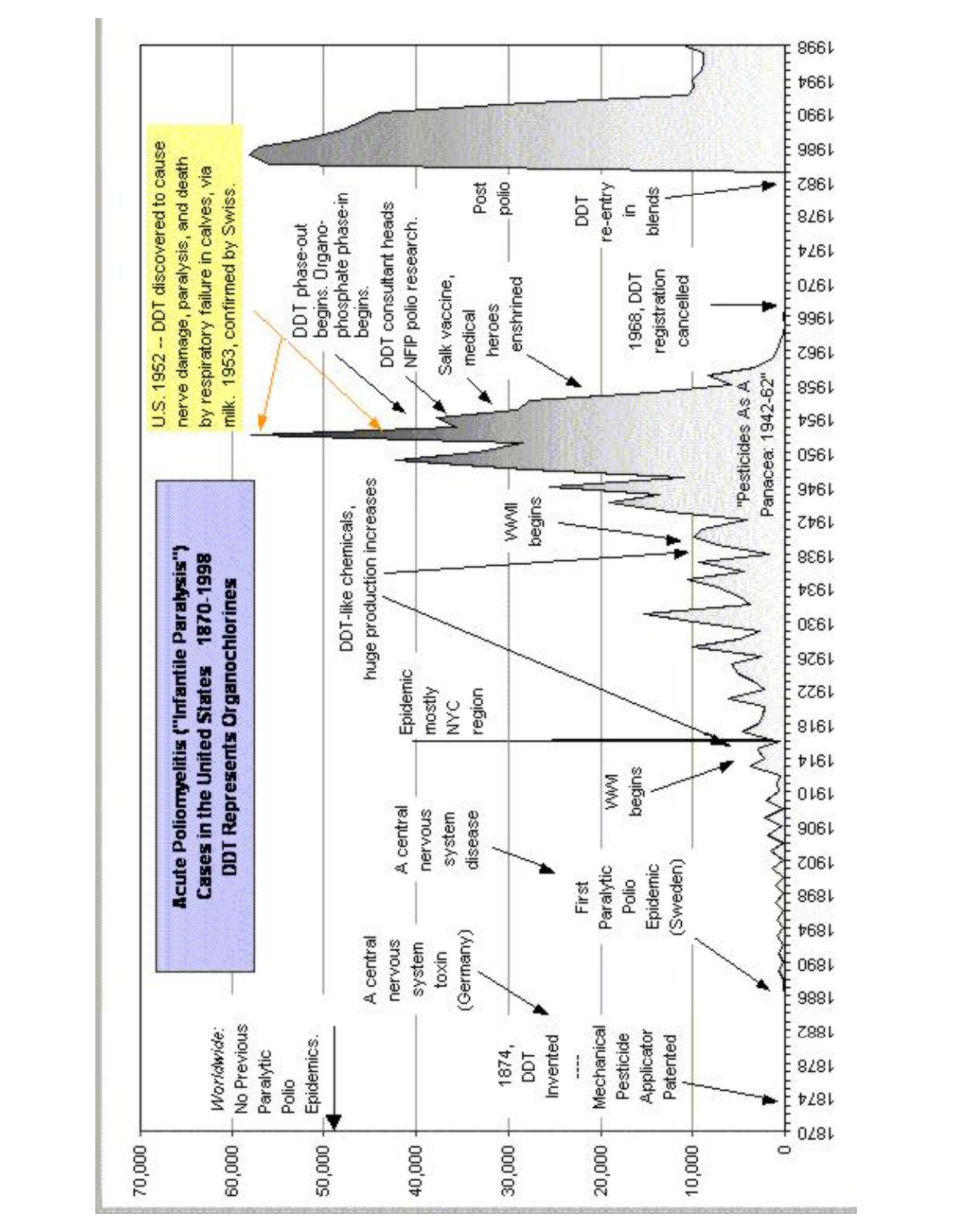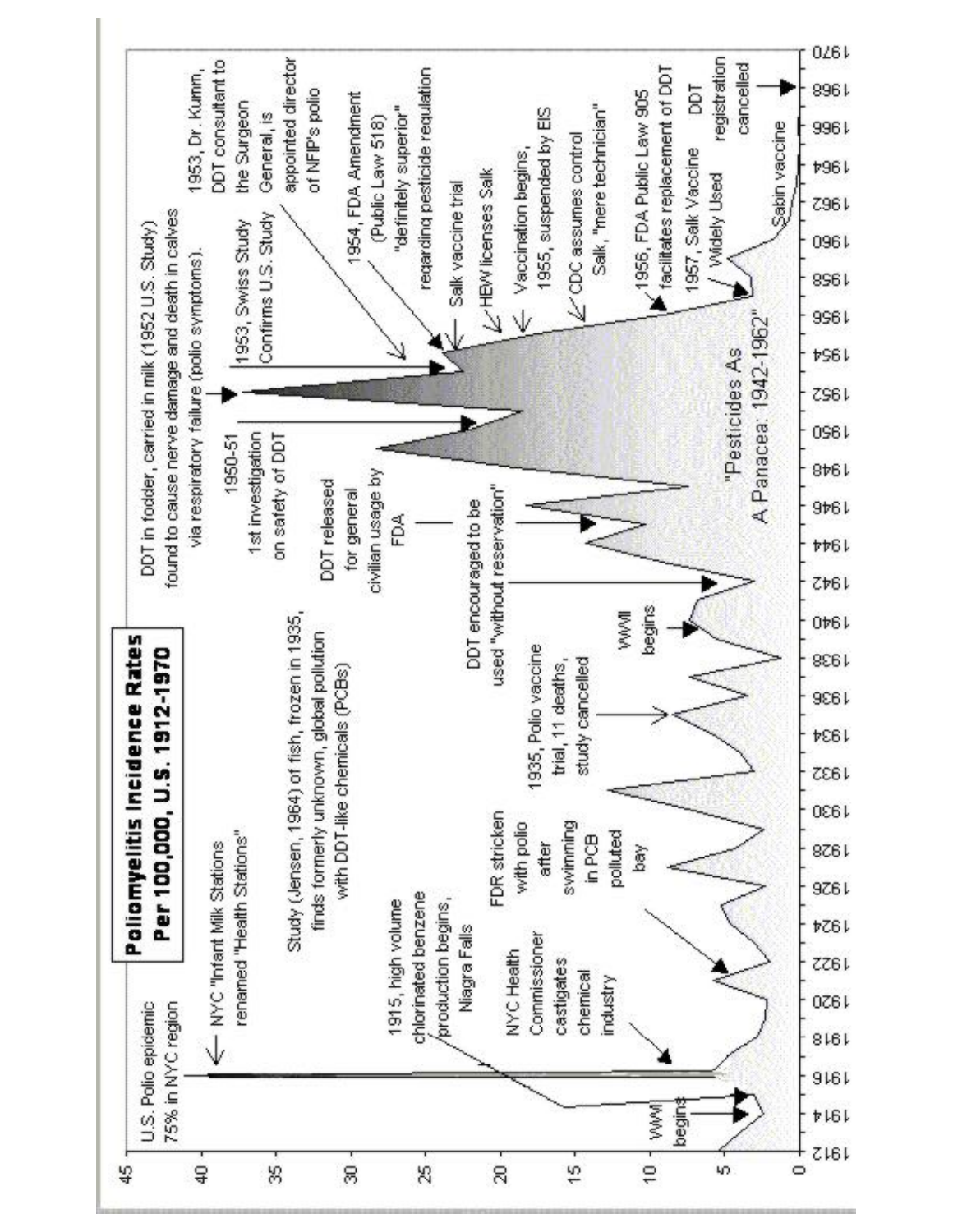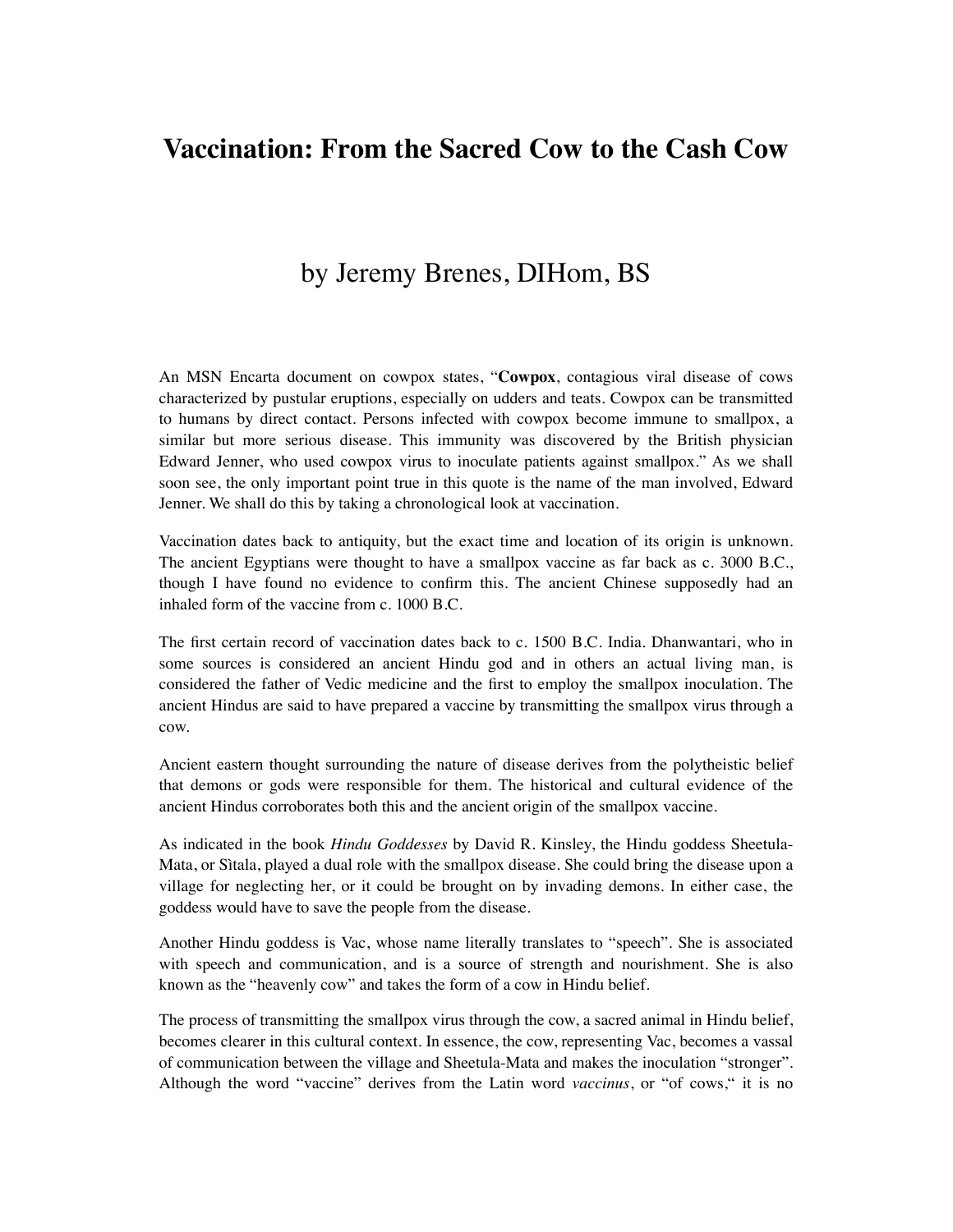# **Vaccination: From the Sacred Cow to the Cash Cow**

## by Jeremy Brenes, DIHom, BS

An MSN Encarta document on cowpox states, "**Cowpox**, contagious viral disease of cows characterized by pustular eruptions, especially on udders and teats. Cowpox can be transmitted to humans by direct contact. Persons infected with cowpox become immune to smallpox, a similar but more serious disease. This immunity was discovered by the British physician Edward Jenner, who used cowpox virus to inoculate patients against smallpox." As we shall soon see, the only important point true in this quote is the name of the man involved, Edward Jenner. We shall do this by taking a chronological look at vaccination.

Vaccination dates back to antiquity, but the exact time and location of its origin is unknown. The ancient Egyptians were thought to have a smallpox vaccine as far back as c. 3000 B.C., though I have found no evidence to confirm this. The ancient Chinese supposedly had an inhaled form of the vaccine from c. 1000 B.C.

The first certain record of vaccination dates back to c. 1500 B.C. India. Dhanwantari, who in some sources is considered an ancient Hindu god and in others an actual living man, is considered the father of Vedic medicine and the first to employ the smallpox inoculation. The ancient Hindus are said to have prepared a vaccine by transmitting the smallpox virus through a cow.

Ancient eastern thought surrounding the nature of disease derives from the polytheistic belief that demons or gods were responsible for them. The historical and cultural evidence of the ancient Hindus corroborates both this and the ancient origin of the smallpox vaccine.

As indicated in the book *Hindu Goddesses* by David R. Kinsley, the Hindu goddess Sheetula-Mata, or Sìtala, played a dual role with the smallpox disease. She could bring the disease upon a village for neglecting her, or it could be brought on by invading demons. In either case, the goddess would have to save the people from the disease.

Another Hindu goddess is Vac, whose name literally translates to "speech". She is associated with speech and communication, and is a source of strength and nourishment. She is also known as the "heavenly cow" and takes the form of a cow in Hindu belief.

The process of transmitting the smallpox virus through the cow, a sacred animal in Hindu belief, becomes clearer in this cultural context. In essence, the cow, representing Vac, becomes a vassal of communication between the village and Sheetula-Mata and makes the inoculation "stronger". Although the word "vaccine" derives from the Latin word *vaccinus*, or "of cows," it is no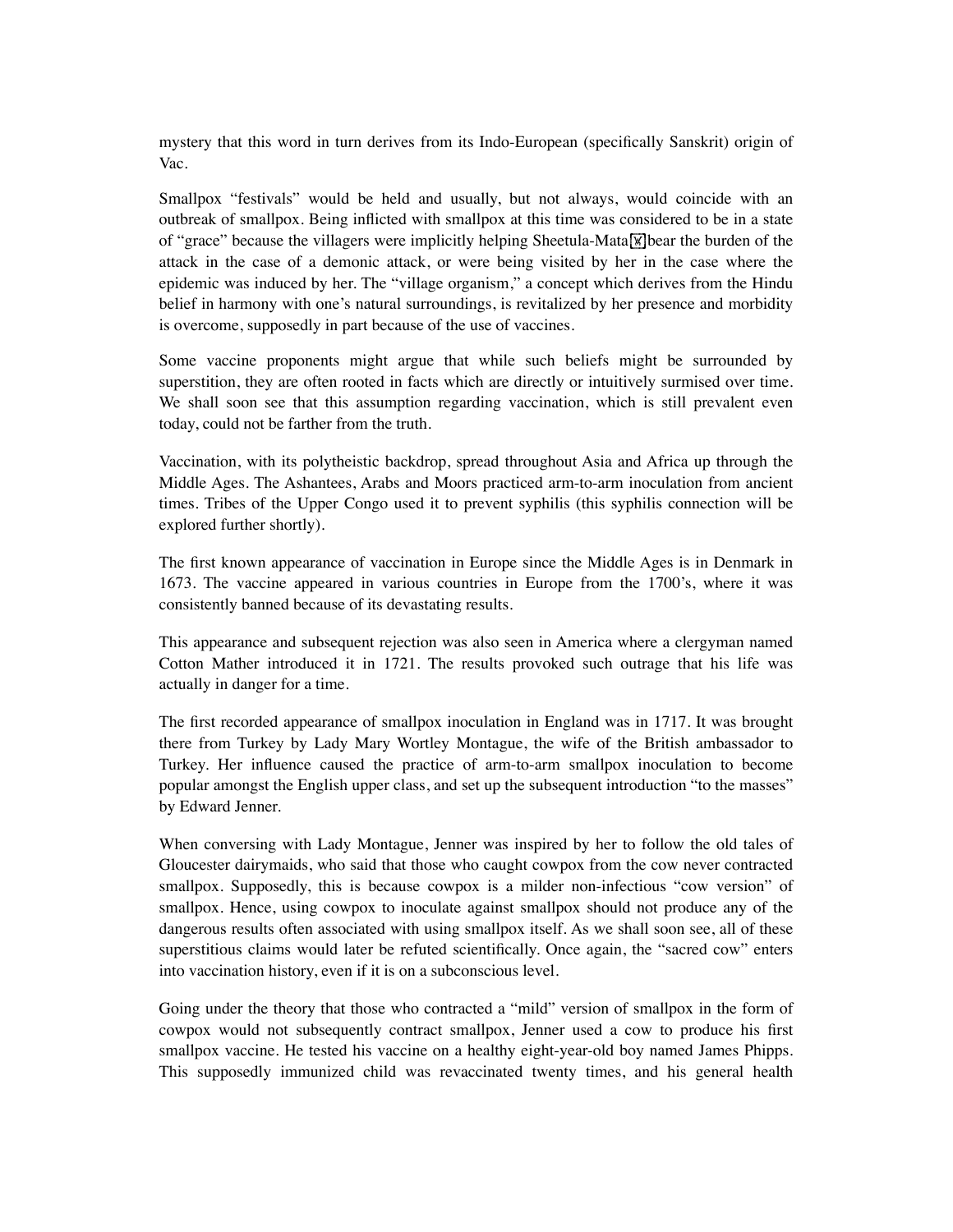mystery that this word in turn derives from its Indo-European (specifically Sanskrit) origin of Vac.

Smallpox "festivals" would be held and usually, but not always, would coincide with an outbreak of smallpox. Being inflicted with smallpox at this time was considered to be in a state of "grace" because the villagers were implicitly helping Sheetula-Mata $\mathbb{W}$  bear the burden of the attack in the case of a demonic attack, or were being visited by her in the case where the epidemic was induced by her. The "village organism," a concept which derives from the Hindu belief in harmony with one's natural surroundings, is revitalized by her presence and morbidity is overcome, supposedly in part because of the use of vaccines.

Some vaccine proponents might argue that while such beliefs might be surrounded by superstition, they are often rooted in facts which are directly or intuitively surmised over time. We shall soon see that this assumption regarding vaccination, which is still prevalent even today, could not be farther from the truth.

Vaccination, with its polytheistic backdrop, spread throughout Asia and Africa up through the Middle Ages. The Ashantees, Arabs and Moors practiced arm-to-arm inoculation from ancient times. Tribes of the Upper Congo used it to prevent syphilis (this syphilis connection will be explored further shortly).

The first known appearance of vaccination in Europe since the Middle Ages is in Denmark in 1673. The vaccine appeared in various countries in Europe from the 1700's, where it was consistently banned because of its devastating results.

This appearance and subsequent rejection was also seen in America where a clergyman named Cotton Mather introduced it in 1721. The results provoked such outrage that his life was actually in danger for a time.

The first recorded appearance of smallpox inoculation in England was in 1717. It was brought there from Turkey by Lady Mary Wortley Montague, the wife of the British ambassador to Turkey. Her influence caused the practice of arm-to-arm smallpox inoculation to become popular amongst the English upper class, and set up the subsequent introduction "to the masses" by Edward Jenner.

When conversing with Lady Montague, Jenner was inspired by her to follow the old tales of Gloucester dairymaids, who said that those who caught cowpox from the cow never contracted smallpox. Supposedly, this is because cowpox is a milder non-infectious "cow version" of smallpox. Hence, using cowpox to inoculate against smallpox should not produce any of the dangerous results often associated with using smallpox itself. As we shall soon see, all of these superstitious claims would later be refuted scientifically. Once again, the "sacred cow" enters into vaccination history, even if it is on a subconscious level.

Going under the theory that those who contracted a "mild" version of smallpox in the form of cowpox would not subsequently contract smallpox, Jenner used a cow to produce his first smallpox vaccine. He tested his vaccine on a healthy eight-year-old boy named James Phipps. This supposedly immunized child was revaccinated twenty times, and his general health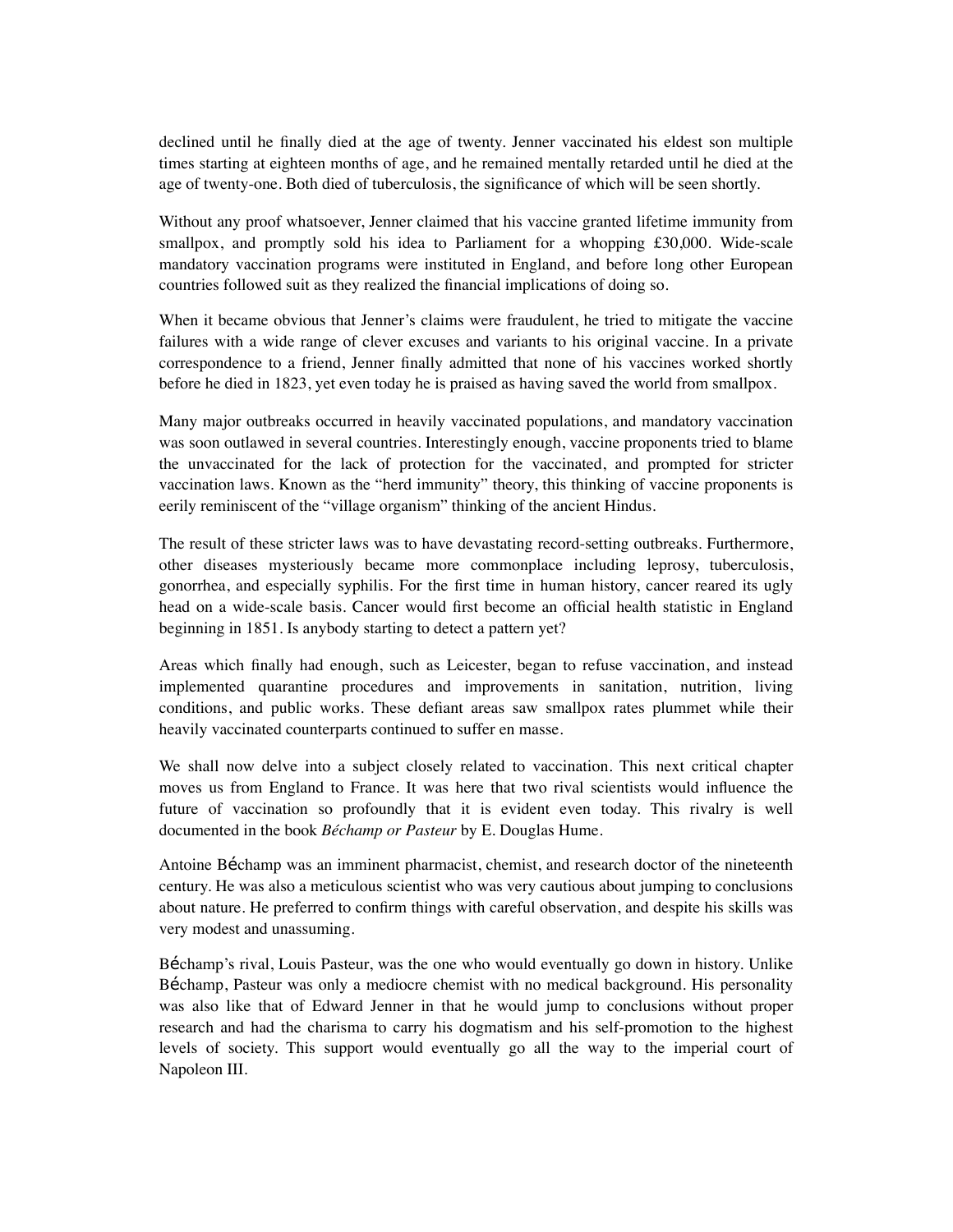declined until he finally died at the age of twenty. Jenner vaccinated his eldest son multiple times starting at eighteen months of age, and he remained mentally retarded until he died at the age of twenty-one. Both died of tuberculosis, the significance of which will be seen shortly.

Without any proof whatsoever, Jenner claimed that his vaccine granted lifetime immunity from smallpox, and promptly sold his idea to Parliament for a whopping £30,000. Wide-scale mandatory vaccination programs were instituted in England, and before long other European countries followed suit as they realized the financial implications of doing so.

When it became obvious that Jenner's claims were fraudulent, he tried to mitigate the vaccine failures with a wide range of clever excuses and variants to his original vaccine. In a private correspondence to a friend, Jenner finally admitted that none of his vaccines worked shortly before he died in 1823, yet even today he is praised as having saved the world from smallpox.

Many major outbreaks occurred in heavily vaccinated populations, and mandatory vaccination was soon outlawed in several countries. Interestingly enough, vaccine proponents tried to blame the unvaccinated for the lack of protection for the vaccinated, and prompted for stricter vaccination laws. Known as the "herd immunity" theory, this thinking of vaccine proponents is eerily reminiscent of the "village organism" thinking of the ancient Hindus.

The result of these stricter laws was to have devastating record-setting outbreaks. Furthermore, other diseases mysteriously became more commonplace including leprosy, tuberculosis, gonorrhea, and especially syphilis. For the first time in human history, cancer reared its ugly head on a wide-scale basis. Cancer would first become an official health statistic in England beginning in 1851. Is anybody starting to detect a pattern yet?

Areas which finally had enough, such as Leicester, began to refuse vaccination, and instead implemented quarantine procedures and improvements in sanitation, nutrition, living conditions, and public works. These defiant areas saw smallpox rates plummet while their heavily vaccinated counterparts continued to suffer en masse.

We shall now delve into a subject closely related to vaccination. This next critical chapter moves us from England to France. It was here that two rival scientists would influence the future of vaccination so profoundly that it is evident even today. This rivalry is well documented in the book *Béchamp or Pasteur* by E. Douglas Hume.

Antoine Béchamp was an imminent pharmacist, chemist, and research doctor of the nineteenth century. He was also a meticulous scientist who was very cautious about jumping to conclusions about nature. He preferred to confirm things with careful observation, and despite his skills was very modest and unassuming.

Béchamp's rival, Louis Pasteur, was the one who would eventually go down in history. Unlike Béchamp, Pasteur was only a mediocre chemist with no medical background. His personality was also like that of Edward Jenner in that he would jump to conclusions without proper research and had the charisma to carry his dogmatism and his self-promotion to the highest levels of society. This support would eventually go all the way to the imperial court of Napoleon III.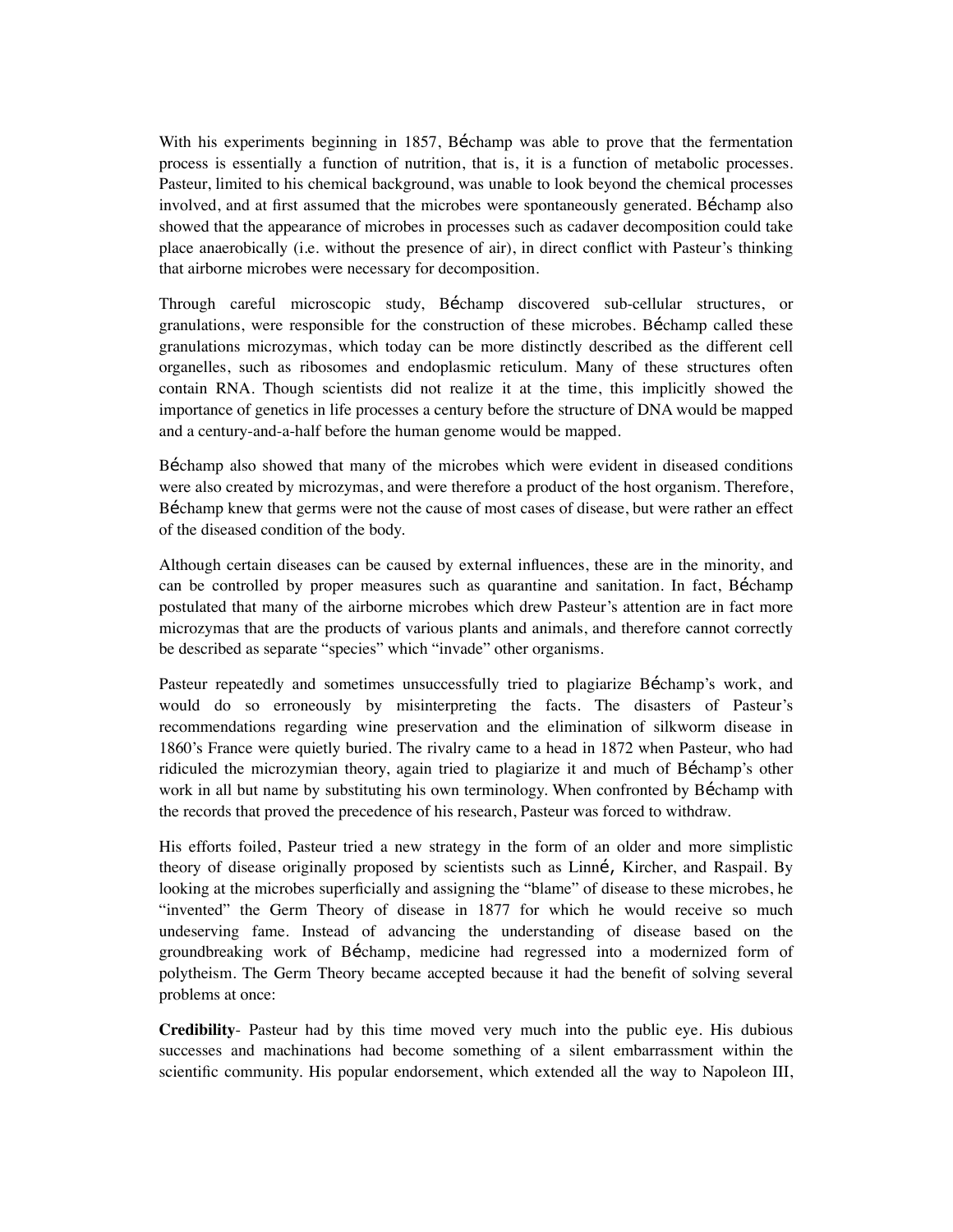With his experiments beginning in 1857, Béchamp was able to prove that the fermentation process is essentially a function of nutrition, that is, it is a function of metabolic processes. Pasteur, limited to his chemical background, was unable to look beyond the chemical processes involved, and at first assumed that the microbes were spontaneously generated. Béchamp also showed that the appearance of microbes in processes such as cadaver decomposition could take place anaerobically (i.e. without the presence of air), in direct conflict with Pasteur's thinking that airborne microbes were necessary for decomposition.

Through careful microscopic study, Béchamp discovered sub-cellular structures, or granulations, were responsible for the construction of these microbes. Béchamp called these granulations microzymas, which today can be more distinctly described as the different cell organelles, such as ribosomes and endoplasmic reticulum. Many of these structures often contain RNA. Though scientists did not realize it at the time, this implicitly showed the importance of genetics in life processes a century before the structure of DNA would be mapped and a century-and-a-half before the human genome would be mapped.

Béchamp also showed that many of the microbes which were evident in diseased conditions were also created by microzymas, and were therefore a product of the host organism. Therefore, Béchamp knew that germs were not the cause of most cases of disease, but were rather an effect of the diseased condition of the body.

Although certain diseases can be caused by external influences, these are in the minority, and can be controlled by proper measures such as quarantine and sanitation. In fact, Béchamp postulated that many of the airborne microbes which drew Pasteur's attention are in fact more microzymas that are the products of various plants and animals, and therefore cannot correctly be described as separate "species" which "invade" other organisms.

Pasteur repeatedly and sometimes unsuccessfully tried to plagiarize Béchamp's work, and would do so erroneously by misinterpreting the facts. The disasters of Pasteur's recommendations regarding wine preservation and the elimination of silkworm disease in 1860's France were quietly buried. The rivalry came to a head in 1872 when Pasteur, who had ridiculed the microzymian theory, again tried to plagiarize it and much of Béchamp's other work in all but name by substituting his own terminology. When confronted by Béchamp with the records that proved the precedence of his research, Pasteur was forced to withdraw.

His efforts foiled, Pasteur tried a new strategy in the form of an older and more simplistic theory of disease originally proposed by scientists such as Linné, Kircher, and Raspail. By looking at the microbes superficially and assigning the "blame" of disease to these microbes, he "invented" the Germ Theory of disease in 1877 for which he would receive so much undeserving fame. Instead of advancing the understanding of disease based on the groundbreaking work of Béchamp, medicine had regressed into a modernized form of polytheism. The Germ Theory became accepted because it had the benefit of solving several problems at once:

**Credibility**- Pasteur had by this time moved very much into the public eye. His dubious successes and machinations had become something of a silent embarrassment within the scientific community. His popular endorsement, which extended all the way to Napoleon III,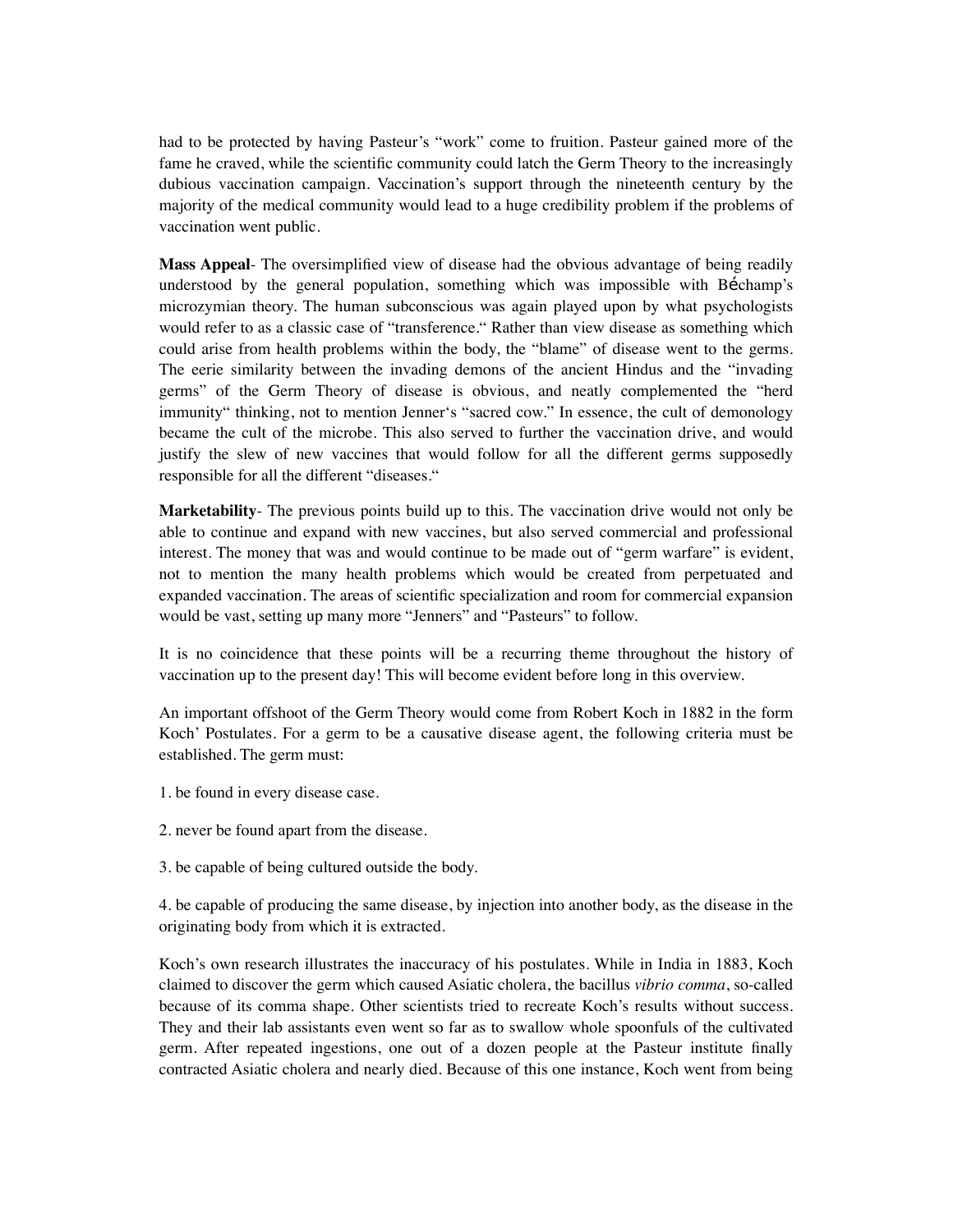had to be protected by having Pasteur's "work" come to fruition. Pasteur gained more of the fame he craved, while the scientific community could latch the Germ Theory to the increasingly dubious vaccination campaign. Vaccination's support through the nineteenth century by the majority of the medical community would lead to a huge credibility problem if the problems of vaccination went public.

**Mass Appeal**- The oversimplified view of disease had the obvious advantage of being readily understood by the general population, something which was impossible with Béchamp's microzymian theory. The human subconscious was again played upon by what psychologists would refer to as a classic case of "transference." Rather than view disease as something which could arise from health problems within the body, the "blame" of disease went to the germs. The eerie similarity between the invading demons of the ancient Hindus and the "invading germs" of the Germ Theory of disease is obvious, and neatly complemented the "herd immunity" thinking, not to mention Jenner's "sacred cow." In essence, the cult of demonology became the cult of the microbe. This also served to further the vaccination drive, and would justify the slew of new vaccines that would follow for all the different germs supposedly responsible for all the different "diseases."

**Marketability**- The previous points build up to this. The vaccination drive would not only be able to continue and expand with new vaccines, but also served commercial and professional interest. The money that was and would continue to be made out of "germ warfare" is evident, not to mention the many health problems which would be created from perpetuated and expanded vaccination. The areas of scientific specialization and room for commercial expansion would be vast, setting up many more "Jenners" and "Pasteurs" to follow.

It is no coincidence that these points will be a recurring theme throughout the history of vaccination up to the present day! This will become evident before long in this overview.

An important offshoot of the Germ Theory would come from Robert Koch in 1882 in the form Koch' Postulates. For a germ to be a causative disease agent, the following criteria must be established. The germ must:

- 1. be found in every disease case.
- 2. never be found apart from the disease.
- 3. be capable of being cultured outside the body.

4. be capable of producing the same disease, by injection into another body, as the disease in the originating body from which it is extracted.

Koch's own research illustrates the inaccuracy of his postulates. While in India in 1883, Koch claimed to discover the germ which caused Asiatic cholera, the bacillus *vibrio comma*, so-called because of its comma shape. Other scientists tried to recreate Koch's results without success. They and their lab assistants even went so far as to swallow whole spoonfuls of the cultivated germ. After repeated ingestions, one out of a dozen people at the Pasteur institute finally contracted Asiatic cholera and nearly died. Because of this one instance, Koch went from being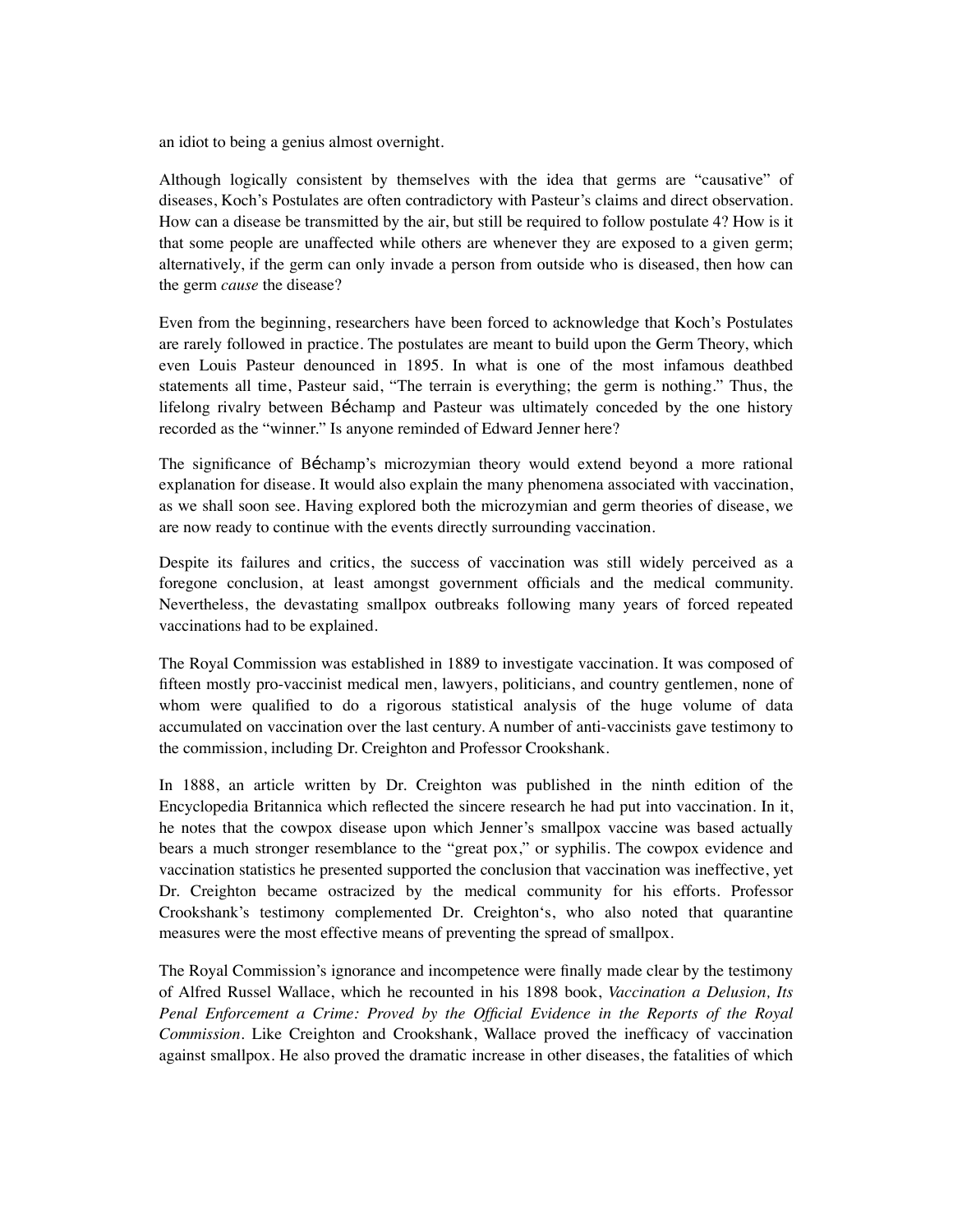an idiot to being a genius almost overnight.

Although logically consistent by themselves with the idea that germs are "causative" of diseases, Koch's Postulates are often contradictory with Pasteur's claims and direct observation. How can a disease be transmitted by the air, but still be required to follow postulate 4? How is it that some people are unaffected while others are whenever they are exposed to a given germ; alternatively, if the germ can only invade a person from outside who is diseased, then how can the germ *cause* the disease?

Even from the beginning, researchers have been forced to acknowledge that Koch's Postulates are rarely followed in practice. The postulates are meant to build upon the Germ Theory, which even Louis Pasteur denounced in 1895. In what is one of the most infamous deathbed statements all time, Pasteur said, "The terrain is everything; the germ is nothing." Thus, the lifelong rivalry between Béchamp and Pasteur was ultimately conceded by the one history recorded as the "winner." Is anyone reminded of Edward Jenner here?

The significance of Béchamp's microzymian theory would extend beyond a more rational explanation for disease. It would also explain the many phenomena associated with vaccination, as we shall soon see. Having explored both the microzymian and germ theories of disease, we are now ready to continue with the events directly surrounding vaccination.

Despite its failures and critics, the success of vaccination was still widely perceived as a foregone conclusion, at least amongst government officials and the medical community. Nevertheless, the devastating smallpox outbreaks following many years of forced repeated vaccinations had to be explained.

The Royal Commission was established in 1889 to investigate vaccination. It was composed of fifteen mostly pro-vaccinist medical men, lawyers, politicians, and country gentlemen, none of whom were qualified to do a rigorous statistical analysis of the huge volume of data accumulated on vaccination over the last century. A number of anti-vaccinists gave testimony to the commission, including Dr. Creighton and Professor Crookshank.

In 1888, an article written by Dr. Creighton was published in the ninth edition of the Encyclopedia Britannica which reflected the sincere research he had put into vaccination. In it, he notes that the cowpox disease upon which Jenner's smallpox vaccine was based actually bears a much stronger resemblance to the "great pox," or syphilis. The cowpox evidence and vaccination statistics he presented supported the conclusion that vaccination was ineffective, yet Dr. Creighton became ostracized by the medical community for his efforts. Professor Crookshank's testimony complemented Dr. Creighton's, who also noted that quarantine measures were the most effective means of preventing the spread of smallpox.

The Royal Commission's ignorance and incompetence were finally made clear by the testimony of Alfred Russel Wallace, which he recounted in his 1898 book, *Vaccination a Delusion, Its Penal Enforcement a Crime: Proved by the Official Evidence in the Reports of the Royal Commission*. Like Creighton and Crookshank, Wallace proved the inefficacy of vaccination against smallpox. He also proved the dramatic increase in other diseases, the fatalities of which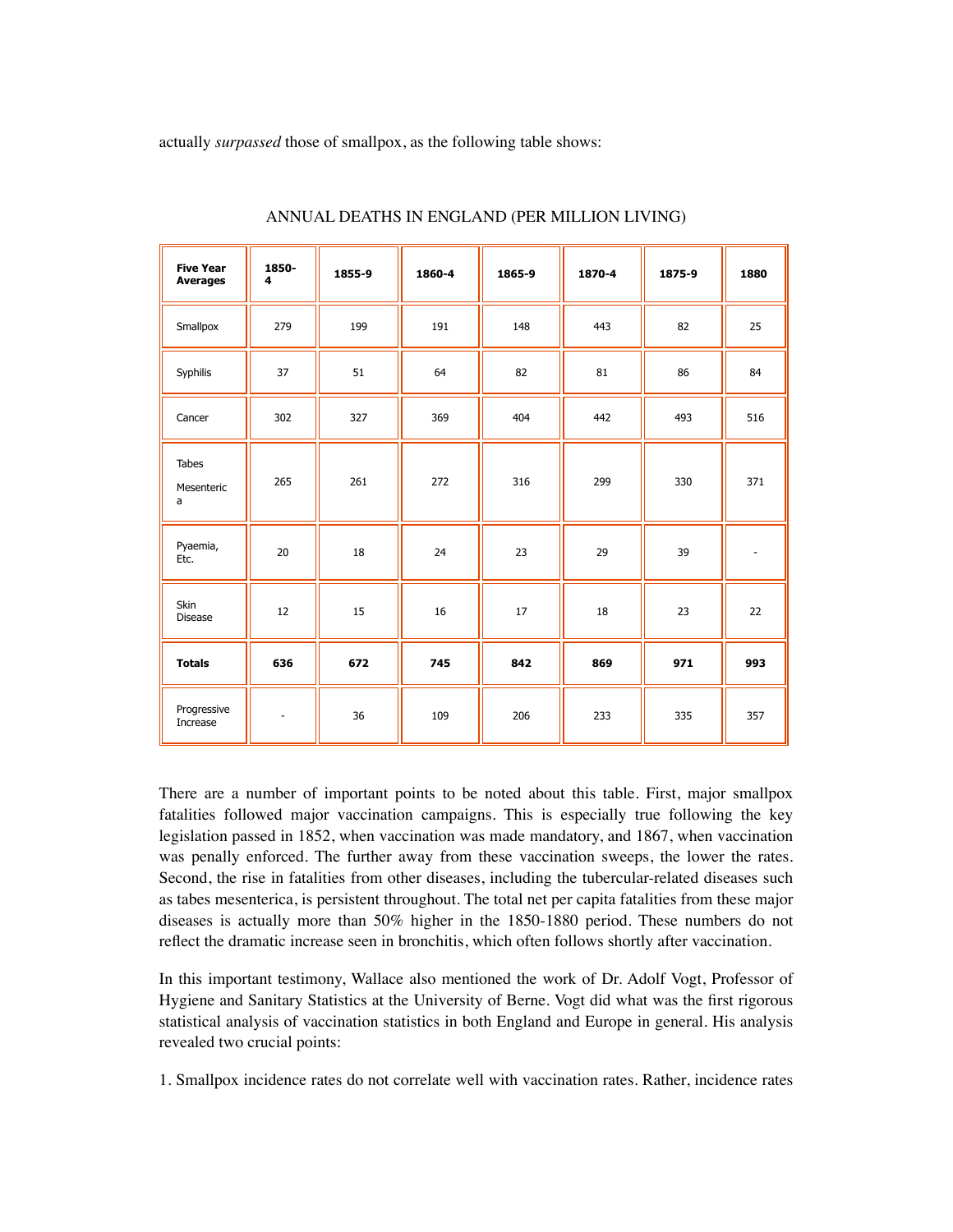actually *surpassed* those of smallpox, as the following table shows:

| <b>Five Year</b><br><b>Averages</b> | 1850-<br>$\overline{\mathbf{4}}$ | 1855-9 | 1860-4 | 1865-9 | 1870-4 | 1875-9 | 1880 |
|-------------------------------------|----------------------------------|--------|--------|--------|--------|--------|------|
| Smallpox                            | 279                              | 199    | 191    | 148    | 443    | 82     | 25   |
| Syphilis                            | 37                               | 51     | 64     | 82     | 81     | 86     | 84   |
| Cancer                              | 302                              | 327    | 369    | 404    | 442    | 493    | 516  |
| Tabes<br>Mesenteric<br>a            | 265                              | 261    | 272    | 316    | 299    | 330    | 371  |
| Pyaemia,<br>Etc.                    | 20                               | 18     | 24     | 23     | 29     | 39     | ÷    |
| Skin<br>Disease                     | 12                               | 15     | 16     | 17     | 18     | 23     | 22   |
| <b>Totals</b>                       | 636                              | 672    | 745    | 842    | 869    | 971    | 993  |
| Progressive<br>Increase             |                                  | 36     | 109    | 206    | 233    | 335    | 357  |

ANNUAL DEATHS IN ENGLAND (PER MILLION LIVING)

There are a number of important points to be noted about this table. First, major smallpox fatalities followed major vaccination campaigns. This is especially true following the key legislation passed in 1852, when vaccination was made mandatory, and 1867, when vaccination was penally enforced. The further away from these vaccination sweeps, the lower the rates. Second, the rise in fatalities from other diseases, including the tubercular-related diseases such as tabes mesenterica, is persistent throughout. The total net per capita fatalities from these major diseases is actually more than 50% higher in the 1850-1880 period. These numbers do not reflect the dramatic increase seen in bronchitis, which often follows shortly after vaccination.

In this important testimony, Wallace also mentioned the work of Dr. Adolf Vogt, Professor of Hygiene and Sanitary Statistics at the University of Berne. Vogt did what was the first rigorous statistical analysis of vaccination statistics in both England and Europe in general. His analysis revealed two crucial points:

1. Smallpox incidence rates do not correlate well with vaccination rates. Rather, incidence rates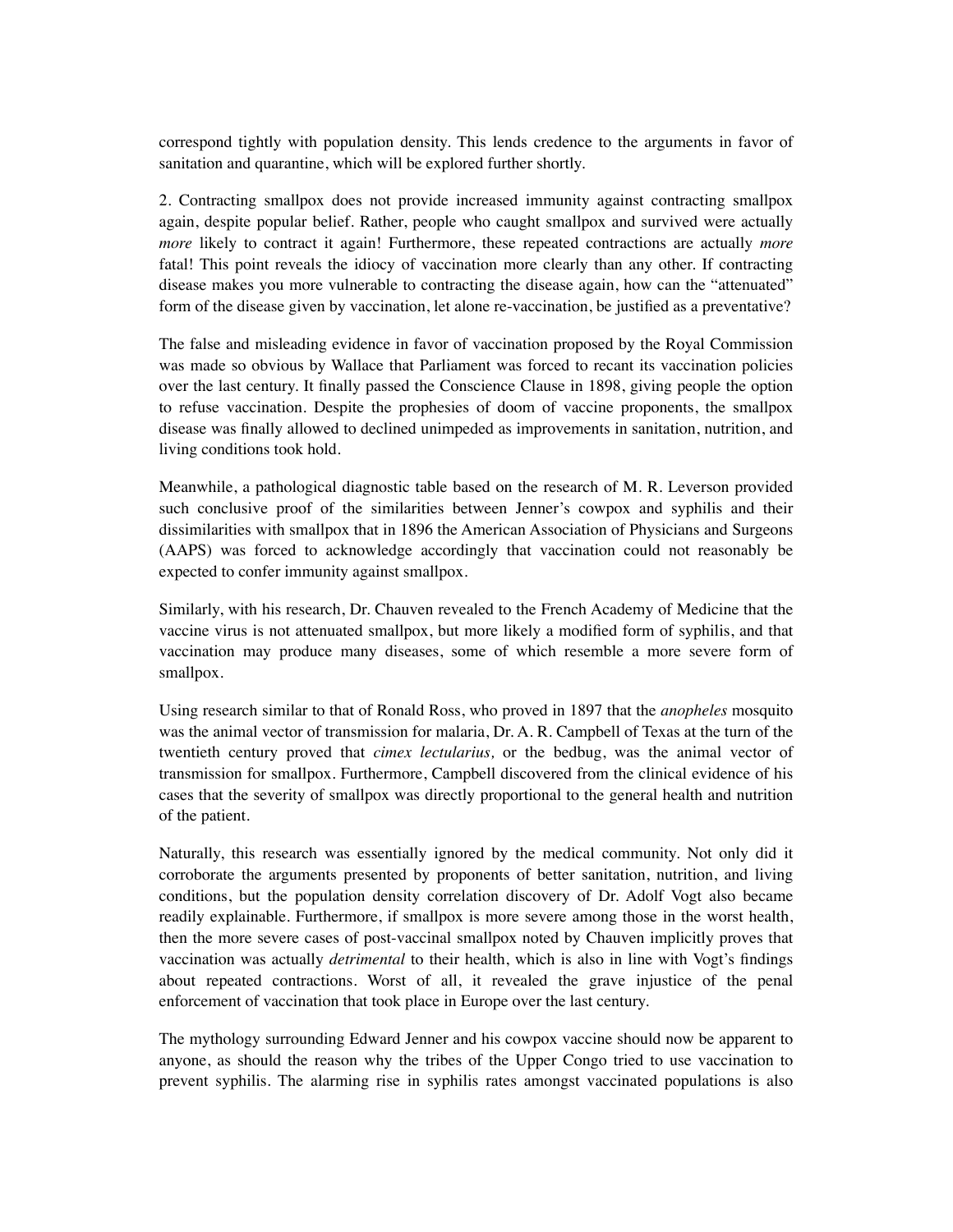correspond tightly with population density. This lends credence to the arguments in favor of sanitation and quarantine, which will be explored further shortly.

2. Contracting smallpox does not provide increased immunity against contracting smallpox again, despite popular belief. Rather, people who caught smallpox and survived were actually *more* likely to contract it again! Furthermore, these repeated contractions are actually *more* fatal! This point reveals the idiocy of vaccination more clearly than any other. If contracting disease makes you more vulnerable to contracting the disease again, how can the "attenuated" form of the disease given by vaccination, let alone re-vaccination, be justified as a preventative?

The false and misleading evidence in favor of vaccination proposed by the Royal Commission was made so obvious by Wallace that Parliament was forced to recant its vaccination policies over the last century. It finally passed the Conscience Clause in 1898, giving people the option to refuse vaccination. Despite the prophesies of doom of vaccine proponents, the smallpox disease was finally allowed to declined unimpeded as improvements in sanitation, nutrition, and living conditions took hold.

Meanwhile, a pathological diagnostic table based on the research of M. R. Leverson provided such conclusive proof of the similarities between Jenner's cowpox and syphilis and their dissimilarities with smallpox that in 1896 the American Association of Physicians and Surgeons (AAPS) was forced to acknowledge accordingly that vaccination could not reasonably be expected to confer immunity against smallpox.

Similarly, with his research, Dr. Chauven revealed to the French Academy of Medicine that the vaccine virus is not attenuated smallpox, but more likely a modified form of syphilis, and that vaccination may produce many diseases, some of which resemble a more severe form of smallpox.

Using research similar to that of Ronald Ross, who proved in 1897 that the *anopheles* mosquito was the animal vector of transmission for malaria, Dr. A. R. Campbell of Texas at the turn of the twentieth century proved that *cimex lectularius,* or the bedbug, was the animal vector of transmission for smallpox. Furthermore, Campbell discovered from the clinical evidence of his cases that the severity of smallpox was directly proportional to the general health and nutrition of the patient.

Naturally, this research was essentially ignored by the medical community. Not only did it corroborate the arguments presented by proponents of better sanitation, nutrition, and living conditions, but the population density correlation discovery of Dr. Adolf Vogt also became readily explainable. Furthermore, if smallpox is more severe among those in the worst health, then the more severe cases of post-vaccinal smallpox noted by Chauven implicitly proves that vaccination was actually *detrimental* to their health, which is also in line with Vogt's findings about repeated contractions. Worst of all, it revealed the grave injustice of the penal enforcement of vaccination that took place in Europe over the last century.

The mythology surrounding Edward Jenner and his cowpox vaccine should now be apparent to anyone, as should the reason why the tribes of the Upper Congo tried to use vaccination to prevent syphilis. The alarming rise in syphilis rates amongst vaccinated populations is also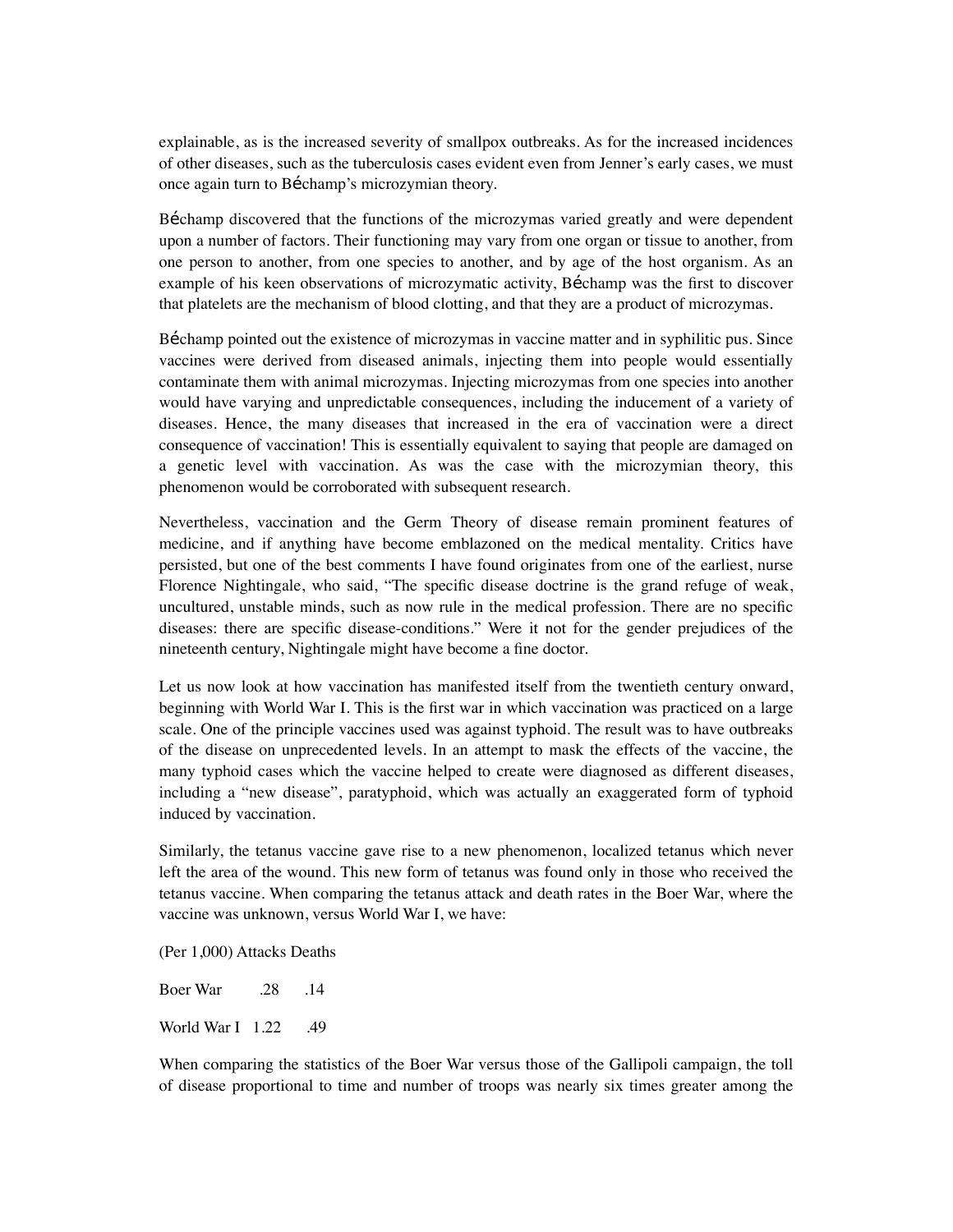explainable, as is the increased severity of smallpox outbreaks. As for the increased incidences of other diseases, such as the tuberculosis cases evident even from Jenner's early cases, we must once again turn to Béchamp's microzymian theory.

Béchamp discovered that the functions of the microzymas varied greatly and were dependent upon a number of factors. Their functioning may vary from one organ or tissue to another, from one person to another, from one species to another, and by age of the host organism. As an example of his keen observations of microzymatic activity, Béchamp was the first to discover that platelets are the mechanism of blood clotting, and that they are a product of microzymas.

Béchamp pointed out the existence of microzymas in vaccine matter and in syphilitic pus. Since vaccines were derived from diseased animals, injecting them into people would essentially contaminate them with animal microzymas. Injecting microzymas from one species into another would have varying and unpredictable consequences, including the inducement of a variety of diseases. Hence, the many diseases that increased in the era of vaccination were a direct consequence of vaccination! This is essentially equivalent to saying that people are damaged on a genetic level with vaccination. As was the case with the microzymian theory, this phenomenon would be corroborated with subsequent research.

Nevertheless, vaccination and the Germ Theory of disease remain prominent features of medicine, and if anything have become emblazoned on the medical mentality. Critics have persisted, but one of the best comments I have found originates from one of the earliest, nurse Florence Nightingale, who said, "The specific disease doctrine is the grand refuge of weak, uncultured, unstable minds, such as now rule in the medical profession. There are no specific diseases: there are specific disease-conditions." Were it not for the gender prejudices of the nineteenth century, Nightingale might have become a fine doctor.

Let us now look at how vaccination has manifested itself from the twentieth century onward, beginning with World War I. This is the first war in which vaccination was practiced on a large scale. One of the principle vaccines used was against typhoid. The result was to have outbreaks of the disease on unprecedented levels. In an attempt to mask the effects of the vaccine, the many typhoid cases which the vaccine helped to create were diagnosed as different diseases, including a "new disease", paratyphoid, which was actually an exaggerated form of typhoid induced by vaccination.

Similarly, the tetanus vaccine gave rise to a new phenomenon, localized tetanus which never left the area of the wound. This new form of tetanus was found only in those who received the tetanus vaccine. When comparing the tetanus attack and death rates in the Boer War, where the vaccine was unknown, versus World War I, we have:

(Per 1,000) Attacks Deaths

Boer War .28 .14

World War I 1.22 .49

When comparing the statistics of the Boer War versus those of the Gallipoli campaign, the toll of disease proportional to time and number of troops was nearly six times greater among the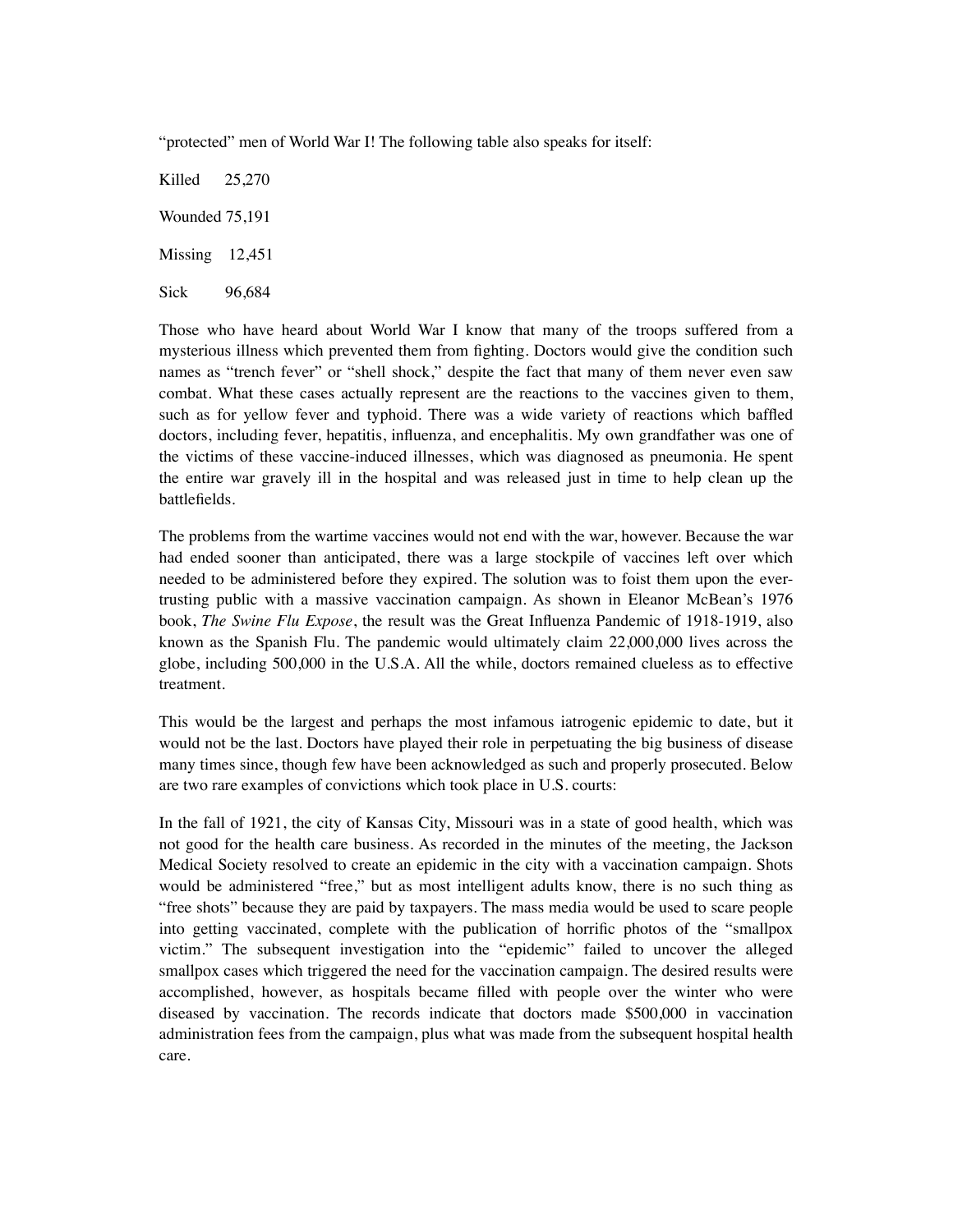"protected" men of World War I! The following table also speaks for itself:

Killed 25,270 Wounded 75,191  $Missing$  12,451 Sick 96,684

Those who have heard about World War I know that many of the troops suffered from a mysterious illness which prevented them from fighting. Doctors would give the condition such names as "trench fever" or "shell shock," despite the fact that many of them never even saw combat. What these cases actually represent are the reactions to the vaccines given to them, such as for yellow fever and typhoid. There was a wide variety of reactions which baffled doctors, including fever, hepatitis, influenza, and encephalitis. My own grandfather was one of the victims of these vaccine-induced illnesses, which was diagnosed as pneumonia. He spent the entire war gravely ill in the hospital and was released just in time to help clean up the battlefields.

The problems from the wartime vaccines would not end with the war, however. Because the war had ended sooner than anticipated, there was a large stockpile of vaccines left over which needed to be administered before they expired. The solution was to foist them upon the evertrusting public with a massive vaccination campaign. As shown in Eleanor McBean's 1976 book, *The Swine Flu Expose*, the result was the Great Influenza Pandemic of 1918-1919, also known as the Spanish Flu. The pandemic would ultimately claim 22,000,000 lives across the globe, including 500,000 in the U.S.A. All the while, doctors remained clueless as to effective treatment.

This would be the largest and perhaps the most infamous iatrogenic epidemic to date, but it would not be the last. Doctors have played their role in perpetuating the big business of disease many times since, though few have been acknowledged as such and properly prosecuted. Below are two rare examples of convictions which took place in U.S. courts:

In the fall of 1921, the city of Kansas City, Missouri was in a state of good health, which was not good for the health care business. As recorded in the minutes of the meeting, the Jackson Medical Society resolved to create an epidemic in the city with a vaccination campaign. Shots would be administered "free," but as most intelligent adults know, there is no such thing as "free shots" because they are paid by taxpayers. The mass media would be used to scare people into getting vaccinated, complete with the publication of horrific photos of the "smallpox victim." The subsequent investigation into the "epidemic" failed to uncover the alleged smallpox cases which triggered the need for the vaccination campaign. The desired results were accomplished, however, as hospitals became filled with people over the winter who were diseased by vaccination. The records indicate that doctors made \$500,000 in vaccination administration fees from the campaign, plus what was made from the subsequent hospital health care.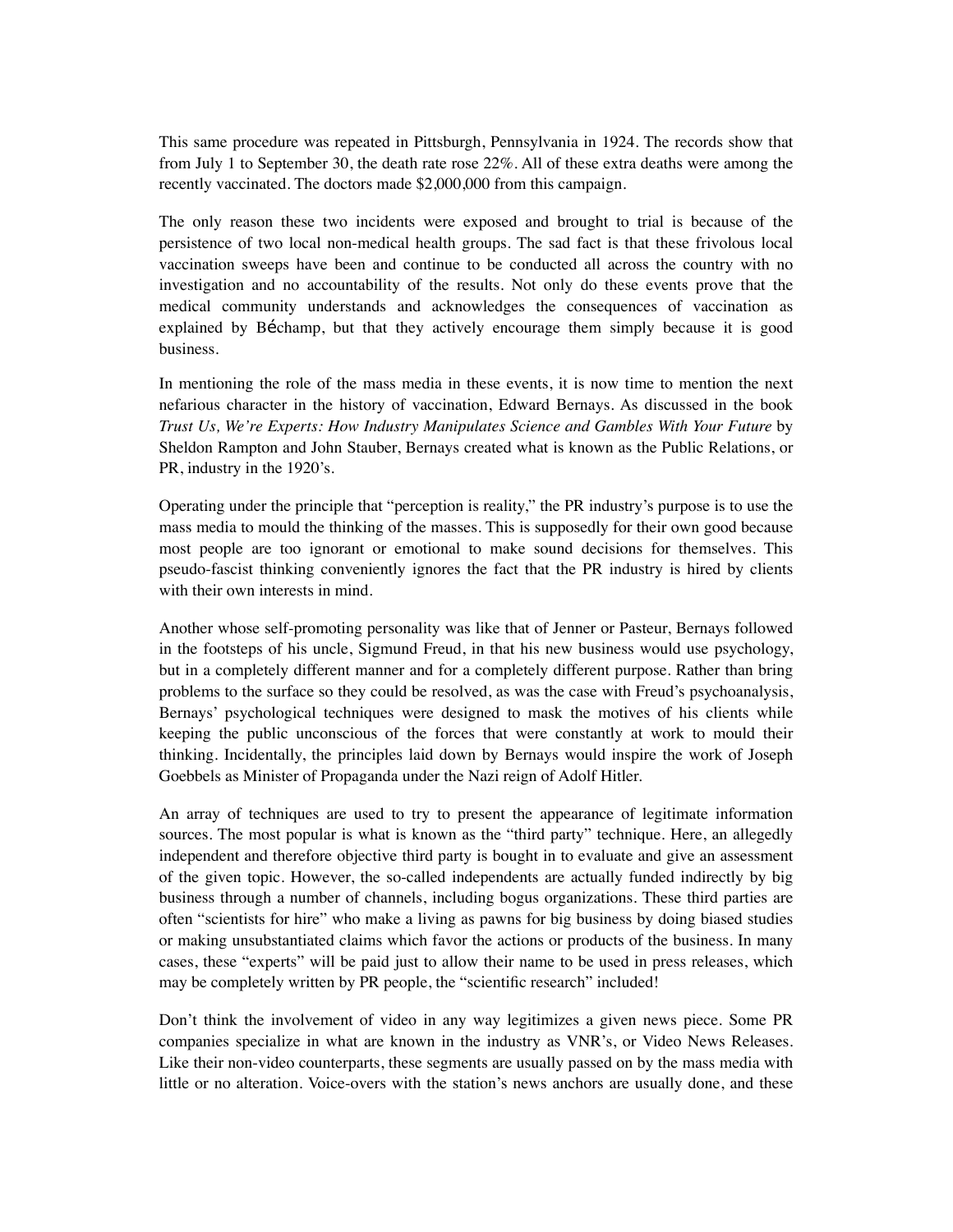This same procedure was repeated in Pittsburgh, Pennsylvania in 1924. The records show that from July 1 to September 30, the death rate rose 22%. All of these extra deaths were among the recently vaccinated. The doctors made \$2,000,000 from this campaign.

The only reason these two incidents were exposed and brought to trial is because of the persistence of two local non-medical health groups. The sad fact is that these frivolous local vaccination sweeps have been and continue to be conducted all across the country with no investigation and no accountability of the results. Not only do these events prove that the medical community understands and acknowledges the consequences of vaccination as explained by Béchamp, but that they actively encourage them simply because it is good business.

In mentioning the role of the mass media in these events, it is now time to mention the next nefarious character in the history of vaccination, Edward Bernays. As discussed in the book *Trust Us, We're Experts: How Industry Manipulates Science and Gambles With Your Future* by Sheldon Rampton and John Stauber, Bernays created what is known as the Public Relations, or PR, industry in the 1920's.

Operating under the principle that "perception is reality," the PR industry's purpose is to use the mass media to mould the thinking of the masses. This is supposedly for their own good because most people are too ignorant or emotional to make sound decisions for themselves. This pseudo-fascist thinking conveniently ignores the fact that the PR industry is hired by clients with their own interests in mind.

Another whose self-promoting personality was like that of Jenner or Pasteur, Bernays followed in the footsteps of his uncle, Sigmund Freud, in that his new business would use psychology, but in a completely different manner and for a completely different purpose. Rather than bring problems to the surface so they could be resolved, as was the case with Freud's psychoanalysis, Bernays' psychological techniques were designed to mask the motives of his clients while keeping the public unconscious of the forces that were constantly at work to mould their thinking. Incidentally, the principles laid down by Bernays would inspire the work of Joseph Goebbels as Minister of Propaganda under the Nazi reign of Adolf Hitler.

An array of techniques are used to try to present the appearance of legitimate information sources. The most popular is what is known as the "third party" technique. Here, an allegedly independent and therefore objective third party is bought in to evaluate and give an assessment of the given topic. However, the so-called independents are actually funded indirectly by big business through a number of channels, including bogus organizations. These third parties are often "scientists for hire" who make a living as pawns for big business by doing biased studies or making unsubstantiated claims which favor the actions or products of the business. In many cases, these "experts" will be paid just to allow their name to be used in press releases, which may be completely written by PR people, the "scientific research" included!

Don't think the involvement of video in any way legitimizes a given news piece. Some PR companies specialize in what are known in the industry as VNR's, or Video News Releases. Like their non-video counterparts, these segments are usually passed on by the mass media with little or no alteration. Voice-overs with the station's news anchors are usually done, and these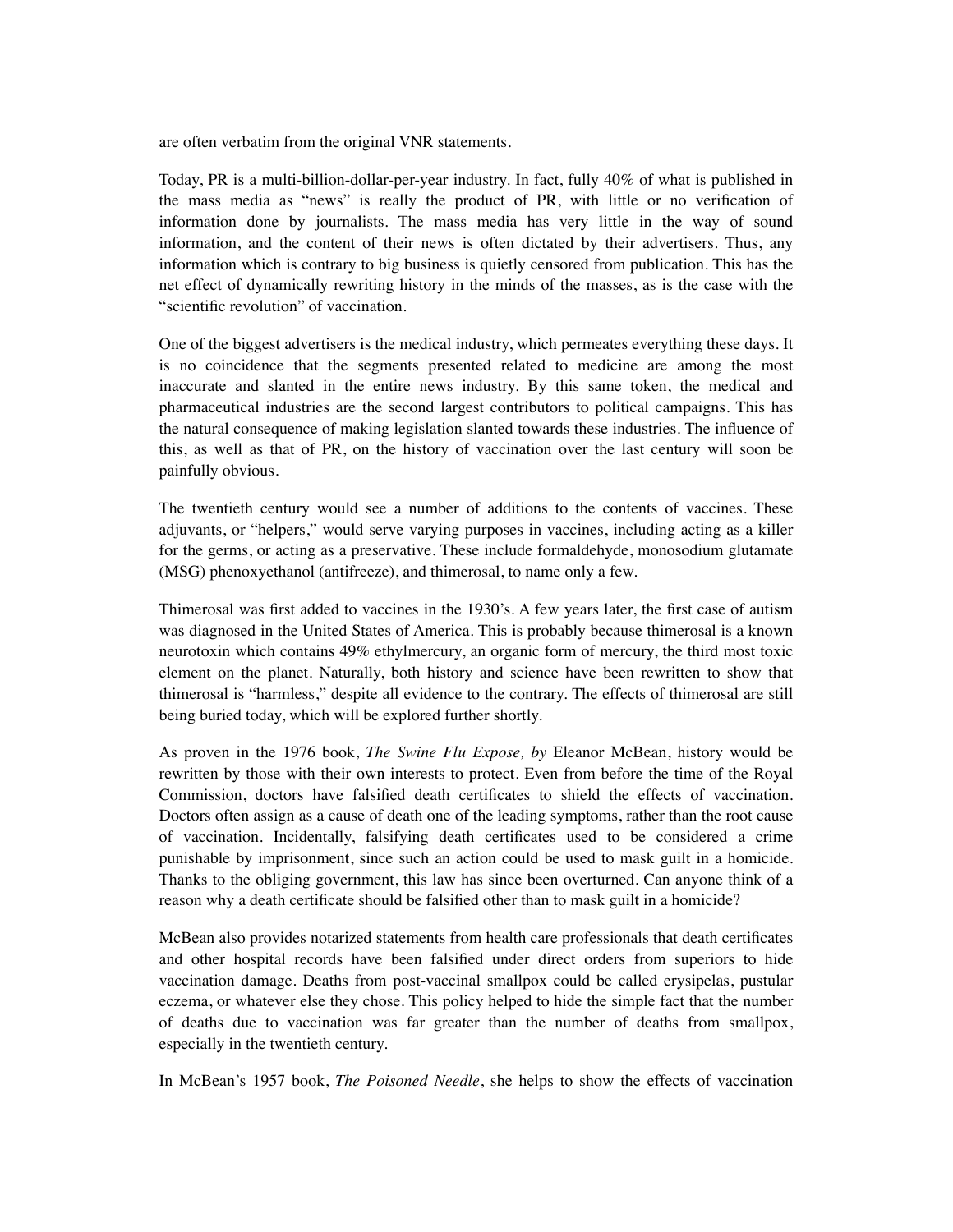are often verbatim from the original VNR statements.

Today, PR is a multi-billion-dollar-per-year industry. In fact, fully 40% of what is published in the mass media as "news" is really the product of PR, with little or no verification of information done by journalists. The mass media has very little in the way of sound information, and the content of their news is often dictated by their advertisers. Thus, any information which is contrary to big business is quietly censored from publication. This has the net effect of dynamically rewriting history in the minds of the masses, as is the case with the "scientific revolution" of vaccination.

One of the biggest advertisers is the medical industry, which permeates everything these days. It is no coincidence that the segments presented related to medicine are among the most inaccurate and slanted in the entire news industry. By this same token, the medical and pharmaceutical industries are the second largest contributors to political campaigns. This has the natural consequence of making legislation slanted towards these industries. The influence of this, as well as that of PR, on the history of vaccination over the last century will soon be painfully obvious.

The twentieth century would see a number of additions to the contents of vaccines. These adjuvants, or "helpers," would serve varying purposes in vaccines, including acting as a killer for the germs, or acting as a preservative. These include formaldehyde, monosodium glutamate (MSG) phenoxyethanol (antifreeze), and thimerosal, to name only a few.

Thimerosal was first added to vaccines in the 1930's. A few years later, the first case of autism was diagnosed in the United States of America. This is probably because thimerosal is a known neurotoxin which contains 49% ethylmercury, an organic form of mercury, the third most toxic element on the planet. Naturally, both history and science have been rewritten to show that thimerosal is "harmless," despite all evidence to the contrary. The effects of thimerosal are still being buried today, which will be explored further shortly.

As proven in the 1976 book, *The Swine Flu Expose, by* Eleanor McBean, history would be rewritten by those with their own interests to protect. Even from before the time of the Royal Commission, doctors have falsified death certificates to shield the effects of vaccination. Doctors often assign as a cause of death one of the leading symptoms, rather than the root cause of vaccination. Incidentally, falsifying death certificates used to be considered a crime punishable by imprisonment, since such an action could be used to mask guilt in a homicide. Thanks to the obliging government, this law has since been overturned. Can anyone think of a reason why a death certificate should be falsified other than to mask guilt in a homicide?

McBean also provides notarized statements from health care professionals that death certificates and other hospital records have been falsified under direct orders from superiors to hide vaccination damage. Deaths from post-vaccinal smallpox could be called erysipelas, pustular eczema, or whatever else they chose. This policy helped to hide the simple fact that the number of deaths due to vaccination was far greater than the number of deaths from smallpox, especially in the twentieth century.

In McBean's 1957 book, *The Poisoned Needle*, she helps to show the effects of vaccination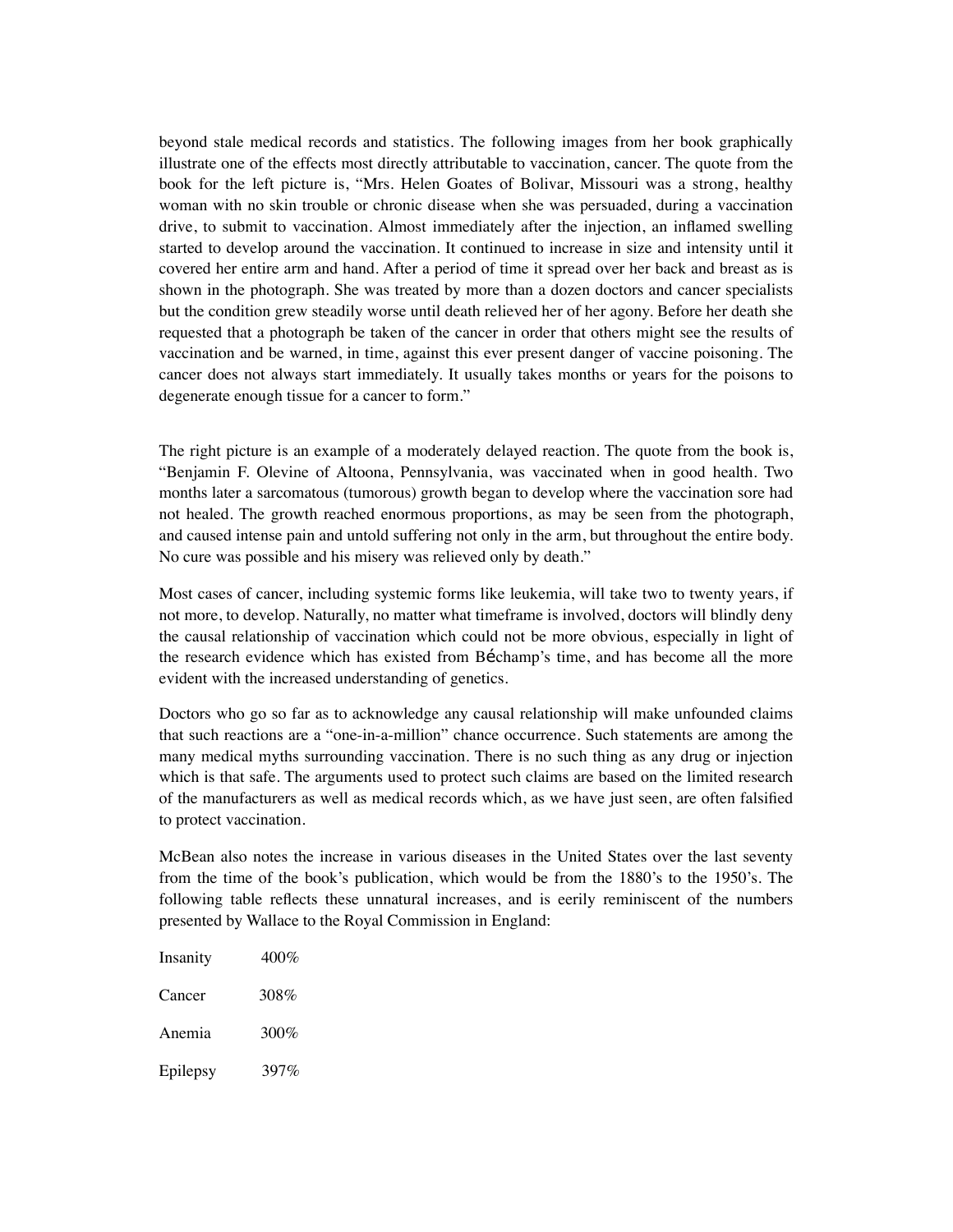beyond stale medical records and statistics. The following images from her book graphically illustrate one of the effects most directly attributable to vaccination, cancer. The quote from the book for the left picture is, "Mrs. Helen Goates of Bolivar, Missouri was a strong, healthy woman with no skin trouble or chronic disease when she was persuaded, during a vaccination drive, to submit to vaccination. Almost immediately after the injection, an inflamed swelling started to develop around the vaccination. It continued to increase in size and intensity until it covered her entire arm and hand. After a period of time it spread over her back and breast as is shown in the photograph. She was treated by more than a dozen doctors and cancer specialists but the condition grew steadily worse until death relieved her of her agony. Before her death she requested that a photograph be taken of the cancer in order that others might see the results of vaccination and be warned, in time, against this ever present danger of vaccine poisoning. The cancer does not always start immediately. It usually takes months or years for the poisons to degenerate enough tissue for a cancer to form."

The right picture is an example of a moderately delayed reaction. The quote from the book is, "Benjamin F. Olevine of Altoona, Pennsylvania, was vaccinated when in good health. Two months later a sarcomatous (tumorous) growth began to develop where the vaccination sore had not healed. The growth reached enormous proportions, as may be seen from the photograph, and caused intense pain and untold suffering not only in the arm, but throughout the entire body. No cure was possible and his misery was relieved only by death."

Most cases of cancer, including systemic forms like leukemia, will take two to twenty years, if not more, to develop. Naturally, no matter what timeframe is involved, doctors will blindly deny the causal relationship of vaccination which could not be more obvious, especially in light of the research evidence which has existed from Béchamp's time, and has become all the more evident with the increased understanding of genetics.

Doctors who go so far as to acknowledge any causal relationship will make unfounded claims that such reactions are a "one-in-a-million" chance occurrence. Such statements are among the many medical myths surrounding vaccination. There is no such thing as any drug or injection which is that safe. The arguments used to protect such claims are based on the limited research of the manufacturers as well as medical records which, as we have just seen, are often falsified to protect vaccination.

McBean also notes the increase in various diseases in the United States over the last seventy from the time of the book's publication, which would be from the 1880's to the 1950's. The following table reflects these unnatural increases, and is eerily reminiscent of the numbers presented by Wallace to the Royal Commission in England:

| Insanity | 400%  |  |  |
|----------|-------|--|--|
| Cancer   | 308\% |  |  |
| Anemia   | 300%  |  |  |
| Epilepsy | 397%  |  |  |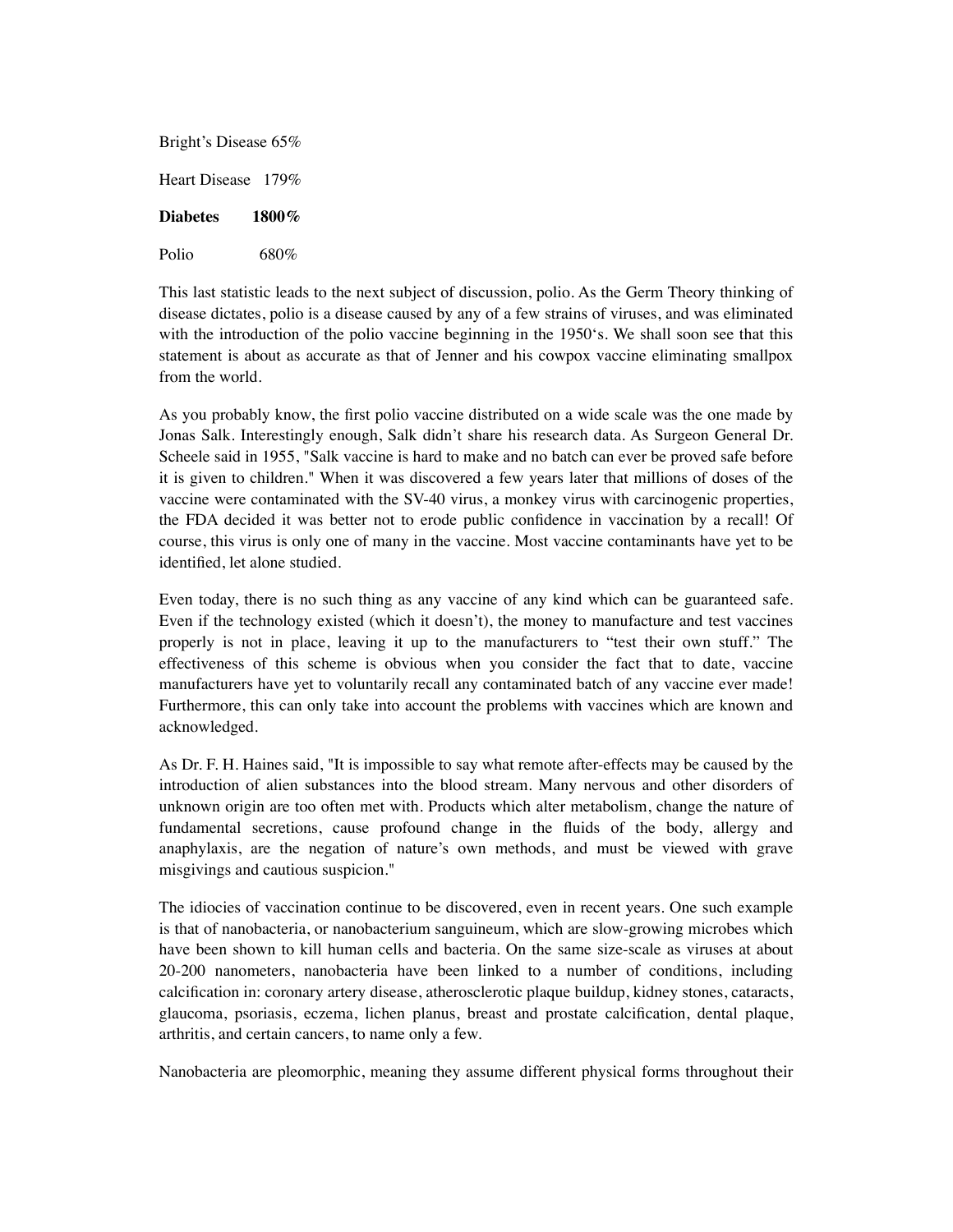| Bright's Disease 65% |       |
|----------------------|-------|
| Heart Disease 179%   |       |
| <b>Diabetes</b>      | 1800% |
| Polio                | 680%  |

This last statistic leads to the next subject of discussion, polio. As the Germ Theory thinking of disease dictates, polio is a disease caused by any of a few strains of viruses, and was eliminated with the introduction of the polio vaccine beginning in the 1950's. We shall soon see that this statement is about as accurate as that of Jenner and his cowpox vaccine eliminating smallpox from the world.

As you probably know, the first polio vaccine distributed on a wide scale was the one made by Jonas Salk. Interestingly enough, Salk didn't share his research data. As Surgeon General Dr. Scheele said in 1955, "Salk vaccine is hard to make and no batch can ever be proved safe before it is given to children." When it was discovered a few years later that millions of doses of the vaccine were contaminated with the SV-40 virus, a monkey virus with carcinogenic properties, the FDA decided it was better not to erode public confidence in vaccination by a recall! Of course, this virus is only one of many in the vaccine. Most vaccine contaminants have yet to be identified, let alone studied.

Even today, there is no such thing as any vaccine of any kind which can be guaranteed safe. Even if the technology existed (which it doesn't), the money to manufacture and test vaccines properly is not in place, leaving it up to the manufacturers to "test their own stuff." The effectiveness of this scheme is obvious when you consider the fact that to date, vaccine manufacturers have yet to voluntarily recall any contaminated batch of any vaccine ever made! Furthermore, this can only take into account the problems with vaccines which are known and acknowledged.

As Dr. F. H. Haines said, "It is impossible to say what remote after-effects may be caused by the introduction of alien substances into the blood stream. Many nervous and other disorders of unknown origin are too often met with. Products which alter metabolism, change the nature of fundamental secretions, cause profound change in the fluids of the body, allergy and anaphylaxis, are the negation of nature's own methods, and must be viewed with grave misgivings and cautious suspicion."

The idiocies of vaccination continue to be discovered, even in recent years. One such example is that of nanobacteria, or nanobacterium sanguineum, which are slow-growing microbes which have been shown to kill human cells and bacteria. On the same size-scale as viruses at about 20-200 nanometers, nanobacteria have been linked to a number of conditions, including calcification in: coronary artery disease, atherosclerotic plaque buildup, kidney stones, cataracts, glaucoma, psoriasis, eczema, lichen planus, breast and prostate calcification, dental plaque, arthritis, and certain cancers, to name only a few.

Nanobacteria are pleomorphic, meaning they assume different physical forms throughout their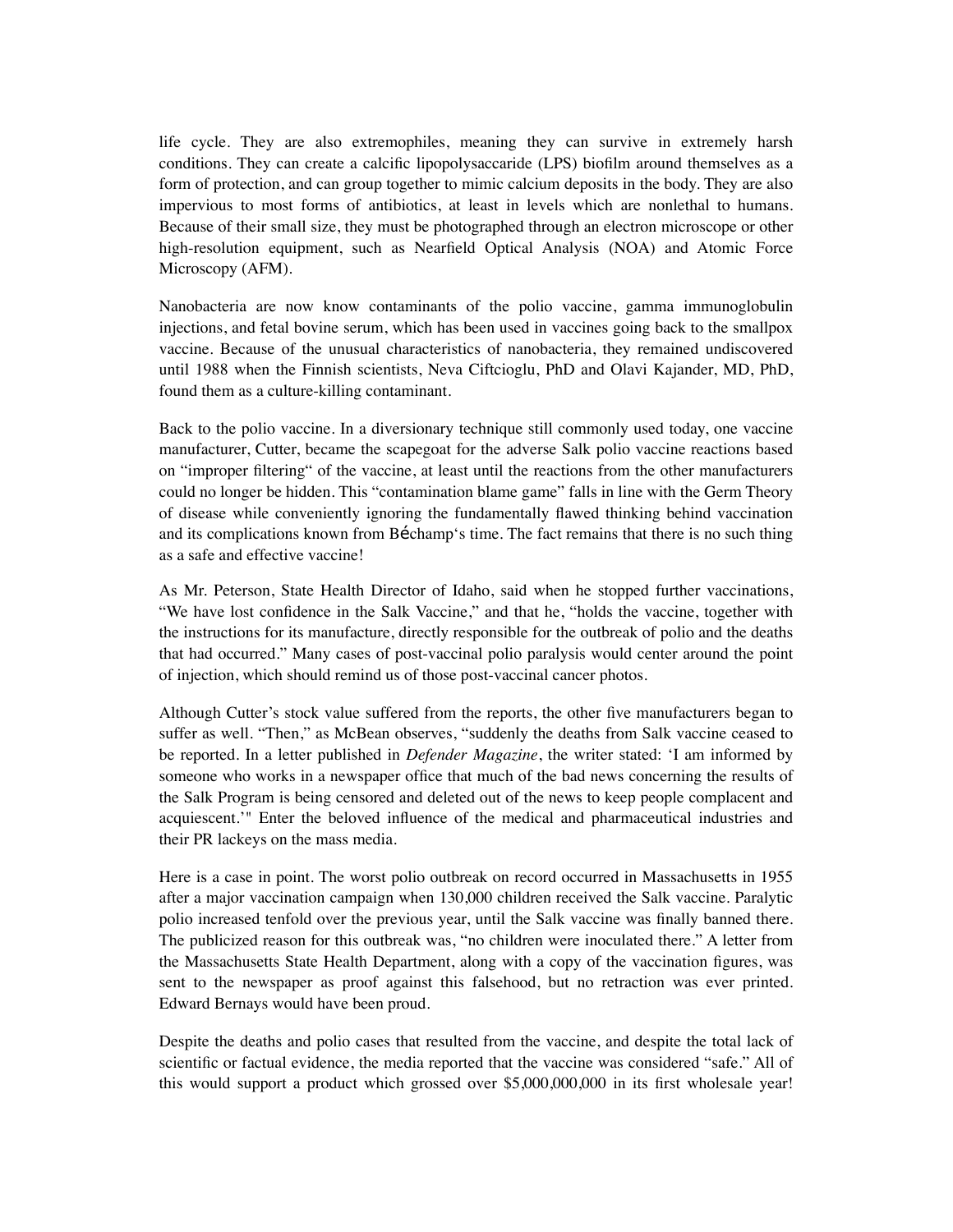life cycle. They are also extremophiles, meaning they can survive in extremely harsh conditions. They can create a calcific lipopolysaccaride (LPS) biofilm around themselves as a form of protection, and can group together to mimic calcium deposits in the body. They are also impervious to most forms of antibiotics, at least in levels which are nonlethal to humans. Because of their small size, they must be photographed through an electron microscope or other high-resolution equipment, such as Nearfield Optical Analysis (NOA) and Atomic Force Microscopy (AFM).

Nanobacteria are now know contaminants of the polio vaccine, gamma immunoglobulin injections, and fetal bovine serum, which has been used in vaccines going back to the smallpox vaccine. Because of the unusual characteristics of nanobacteria, they remained undiscovered until 1988 when the Finnish scientists, Neva Ciftcioglu, PhD and Olavi Kajander, MD, PhD, found them as a culture-killing contaminant.

Back to the polio vaccine. In a diversionary technique still commonly used today, one vaccine manufacturer, Cutter, became the scapegoat for the adverse Salk polio vaccine reactions based on "improper filtering" of the vaccine, at least until the reactions from the other manufacturers could no longer be hidden. This "contamination blame game" falls in line with the Germ Theory of disease while conveniently ignoring the fundamentally flawed thinking behind vaccination and its complications known from Béchamp's time. The fact remains that there is no such thing as a safe and effective vaccine!

As Mr. Peterson, State Health Director of Idaho, said when he stopped further vaccinations, "We have lost confidence in the Salk Vaccine," and that he, "holds the vaccine, together with the instructions for its manufacture, directly responsible for the outbreak of polio and the deaths that had occurred." Many cases of post-vaccinal polio paralysis would center around the point of injection, which should remind us of those post-vaccinal cancer photos.

Although Cutter's stock value suffered from the reports, the other five manufacturers began to suffer as well. "Then," as McBean observes, "suddenly the deaths from Salk vaccine ceased to be reported. In a letter published in *Defender Magazine*, the writer stated: 'I am informed by someone who works in a newspaper office that much of the bad news concerning the results of the Salk Program is being censored and deleted out of the news to keep people complacent and acquiescent.'" Enter the beloved influence of the medical and pharmaceutical industries and their PR lackeys on the mass media.

Here is a case in point. The worst polio outbreak on record occurred in Massachusetts in 1955 after a major vaccination campaign when 130,000 children received the Salk vaccine. Paralytic polio increased tenfold over the previous year, until the Salk vaccine was finally banned there. The publicized reason for this outbreak was, "no children were inoculated there." A letter from the Massachusetts State Health Department, along with a copy of the vaccination figures, was sent to the newspaper as proof against this falsehood, but no retraction was ever printed. Edward Bernays would have been proud.

Despite the deaths and polio cases that resulted from the vaccine, and despite the total lack of scientific or factual evidence, the media reported that the vaccine was considered "safe." All of this would support a product which grossed over \$5,000,000,000 in its first wholesale year!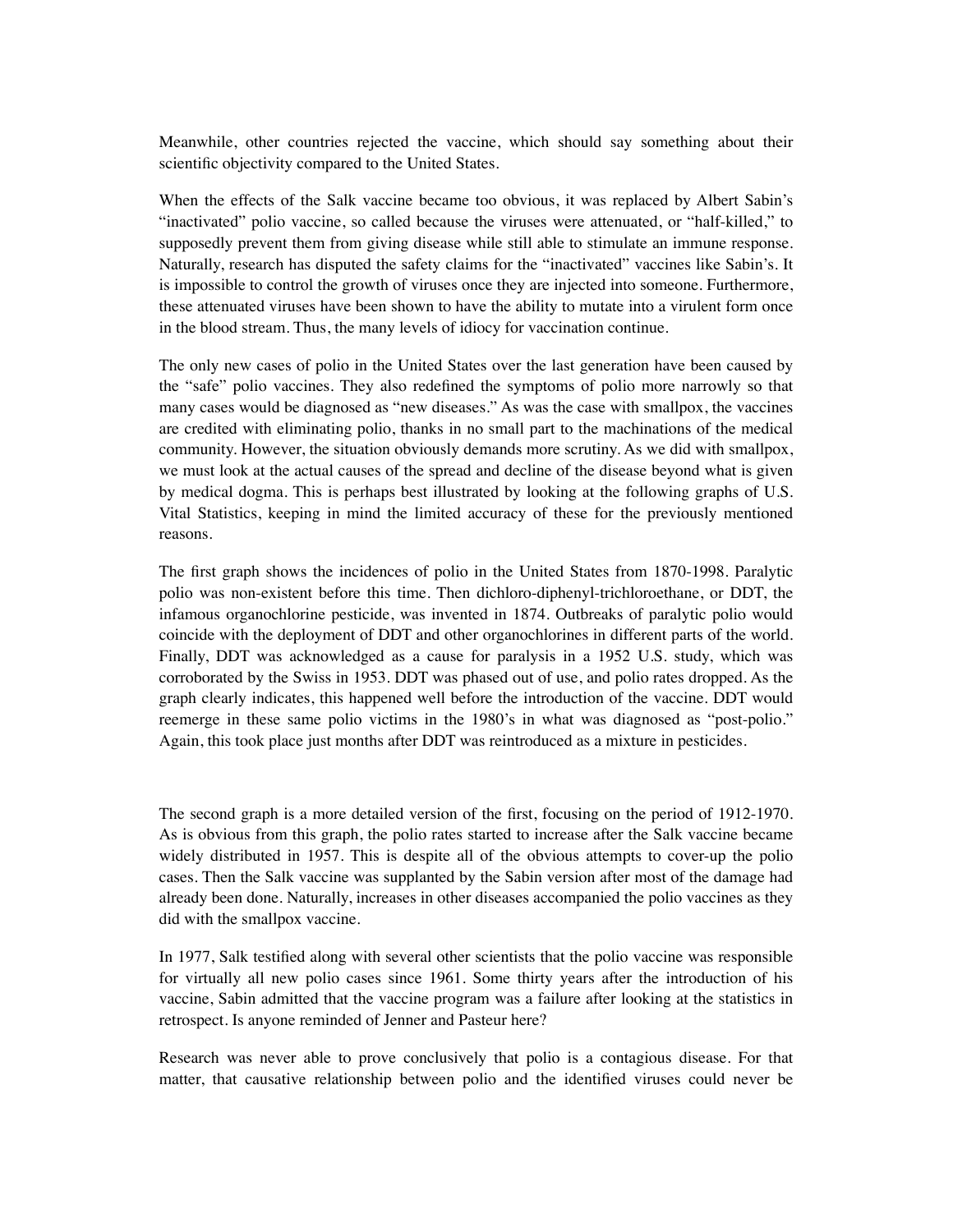Meanwhile, other countries rejected the vaccine, which should say something about their scientific objectivity compared to the United States.

When the effects of the Salk vaccine became too obvious, it was replaced by Albert Sabin's "inactivated" polio vaccine, so called because the viruses were attenuated, or "half-killed," to supposedly prevent them from giving disease while still able to stimulate an immune response. Naturally, research has disputed the safety claims for the "inactivated" vaccines like Sabin's. It is impossible to control the growth of viruses once they are injected into someone. Furthermore, these attenuated viruses have been shown to have the ability to mutate into a virulent form once in the blood stream. Thus, the many levels of idiocy for vaccination continue.

The only new cases of polio in the United States over the last generation have been caused by the "safe" polio vaccines. They also redefined the symptoms of polio more narrowly so that many cases would be diagnosed as "new diseases." As was the case with smallpox, the vaccines are credited with eliminating polio, thanks in no small part to the machinations of the medical community. However, the situation obviously demands more scrutiny. As we did with smallpox, we must look at the actual causes of the spread and decline of the disease beyond what is given by medical dogma. This is perhaps best illustrated by looking at the following graphs of U.S. Vital Statistics, keeping in mind the limited accuracy of these for the previously mentioned reasons.

The first graph shows the incidences of polio in the United States from 1870-1998. Paralytic polio was non-existent before this time. Then dichloro-diphenyl-trichloroethane, or DDT, the infamous organochlorine pesticide, was invented in 1874. Outbreaks of paralytic polio would coincide with the deployment of DDT and other organochlorines in different parts of the world. Finally, DDT was acknowledged as a cause for paralysis in a 1952 U.S. study, which was corroborated by the Swiss in 1953. DDT was phased out of use, and polio rates dropped. As the graph clearly indicates, this happened well before the introduction of the vaccine. DDT would reemerge in these same polio victims in the 1980's in what was diagnosed as "post-polio." Again, this took place just months after DDT was reintroduced as a mixture in pesticides.

The second graph is a more detailed version of the first, focusing on the period of 1912-1970. As is obvious from this graph, the polio rates started to increase after the Salk vaccine became widely distributed in 1957. This is despite all of the obvious attempts to cover-up the polio cases. Then the Salk vaccine was supplanted by the Sabin version after most of the damage had already been done. Naturally, increases in other diseases accompanied the polio vaccines as they did with the smallpox vaccine.

In 1977, Salk testified along with several other scientists that the polio vaccine was responsible for virtually all new polio cases since 1961. Some thirty years after the introduction of his vaccine, Sabin admitted that the vaccine program was a failure after looking at the statistics in retrospect. Is anyone reminded of Jenner and Pasteur here?

Research was never able to prove conclusively that polio is a contagious disease. For that matter, that causative relationship between polio and the identified viruses could never be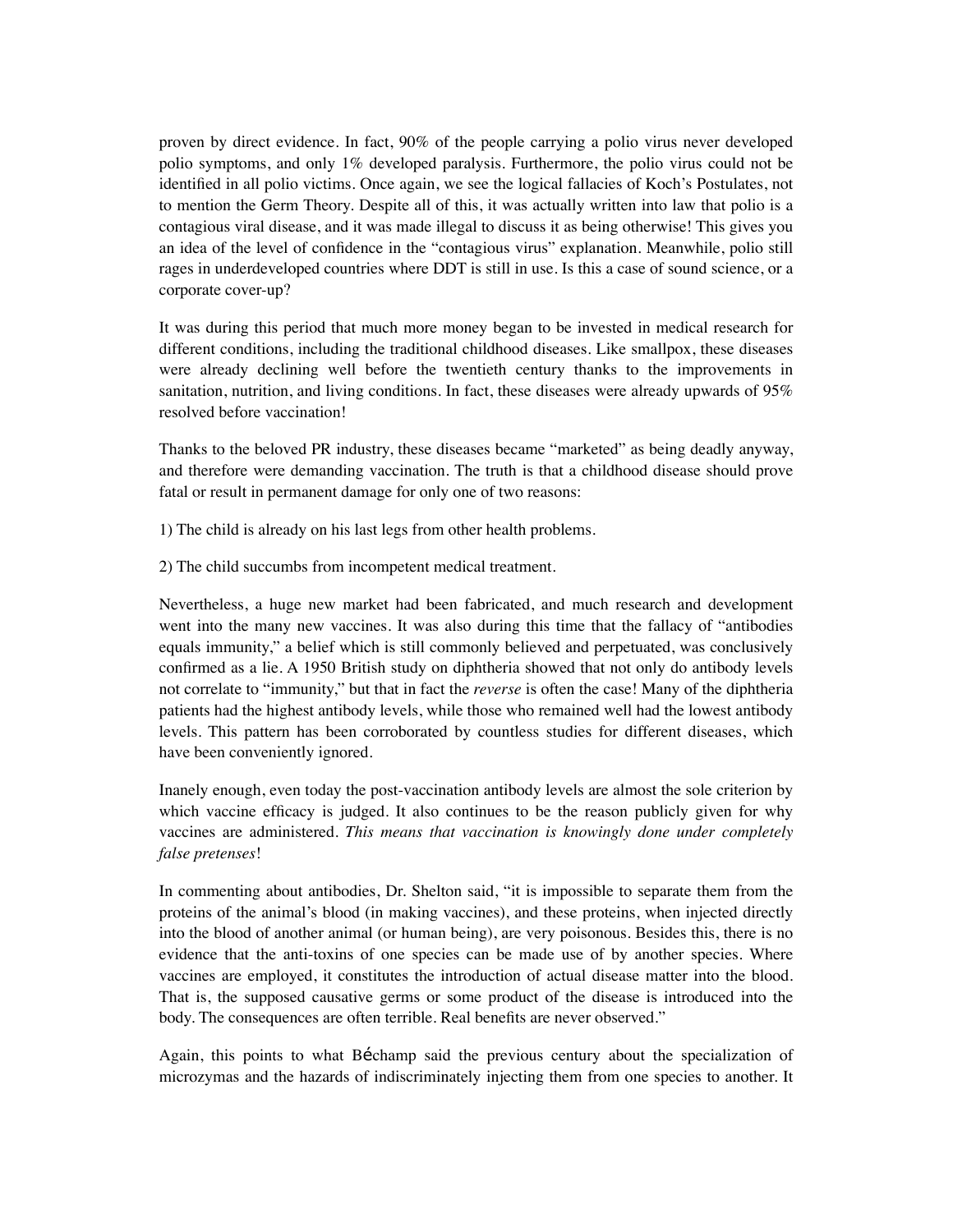proven by direct evidence. In fact, 90% of the people carrying a polio virus never developed polio symptoms, and only 1% developed paralysis. Furthermore, the polio virus could not be identified in all polio victims. Once again, we see the logical fallacies of Koch's Postulates, not to mention the Germ Theory. Despite all of this, it was actually written into law that polio is a contagious viral disease, and it was made illegal to discuss it as being otherwise! This gives you an idea of the level of confidence in the "contagious virus" explanation. Meanwhile, polio still rages in underdeveloped countries where DDT is still in use. Is this a case of sound science, or a corporate cover-up?

It was during this period that much more money began to be invested in medical research for different conditions, including the traditional childhood diseases. Like smallpox, these diseases were already declining well before the twentieth century thanks to the improvements in sanitation, nutrition, and living conditions. In fact, these diseases were already upwards of 95% resolved before vaccination!

Thanks to the beloved PR industry, these diseases became "marketed" as being deadly anyway, and therefore were demanding vaccination. The truth is that a childhood disease should prove fatal or result in permanent damage for only one of two reasons:

1) The child is already on his last legs from other health problems.

2) The child succumbs from incompetent medical treatment.

Nevertheless, a huge new market had been fabricated, and much research and development went into the many new vaccines. It was also during this time that the fallacy of "antibodies equals immunity," a belief which is still commonly believed and perpetuated, was conclusively confirmed as a lie. A 1950 British study on diphtheria showed that not only do antibody levels not correlate to "immunity," but that in fact the *reverse* is often the case! Many of the diphtheria patients had the highest antibody levels, while those who remained well had the lowest antibody levels. This pattern has been corroborated by countless studies for different diseases, which have been conveniently ignored.

Inanely enough, even today the post-vaccination antibody levels are almost the sole criterion by which vaccine efficacy is judged. It also continues to be the reason publicly given for why vaccines are administered. *This means that vaccination is knowingly done under completely false pretenses*!

In commenting about antibodies, Dr. Shelton said, "it is impossible to separate them from the proteins of the animal's blood (in making vaccines), and these proteins, when injected directly into the blood of another animal (or human being), are very poisonous. Besides this, there is no evidence that the anti-toxins of one species can be made use of by another species. Where vaccines are employed, it constitutes the introduction of actual disease matter into the blood. That is, the supposed causative germs or some product of the disease is introduced into the body. The consequences are often terrible. Real benefits are never observed."

Again, this points to what Béchamp said the previous century about the specialization of microzymas and the hazards of indiscriminately injecting them from one species to another. It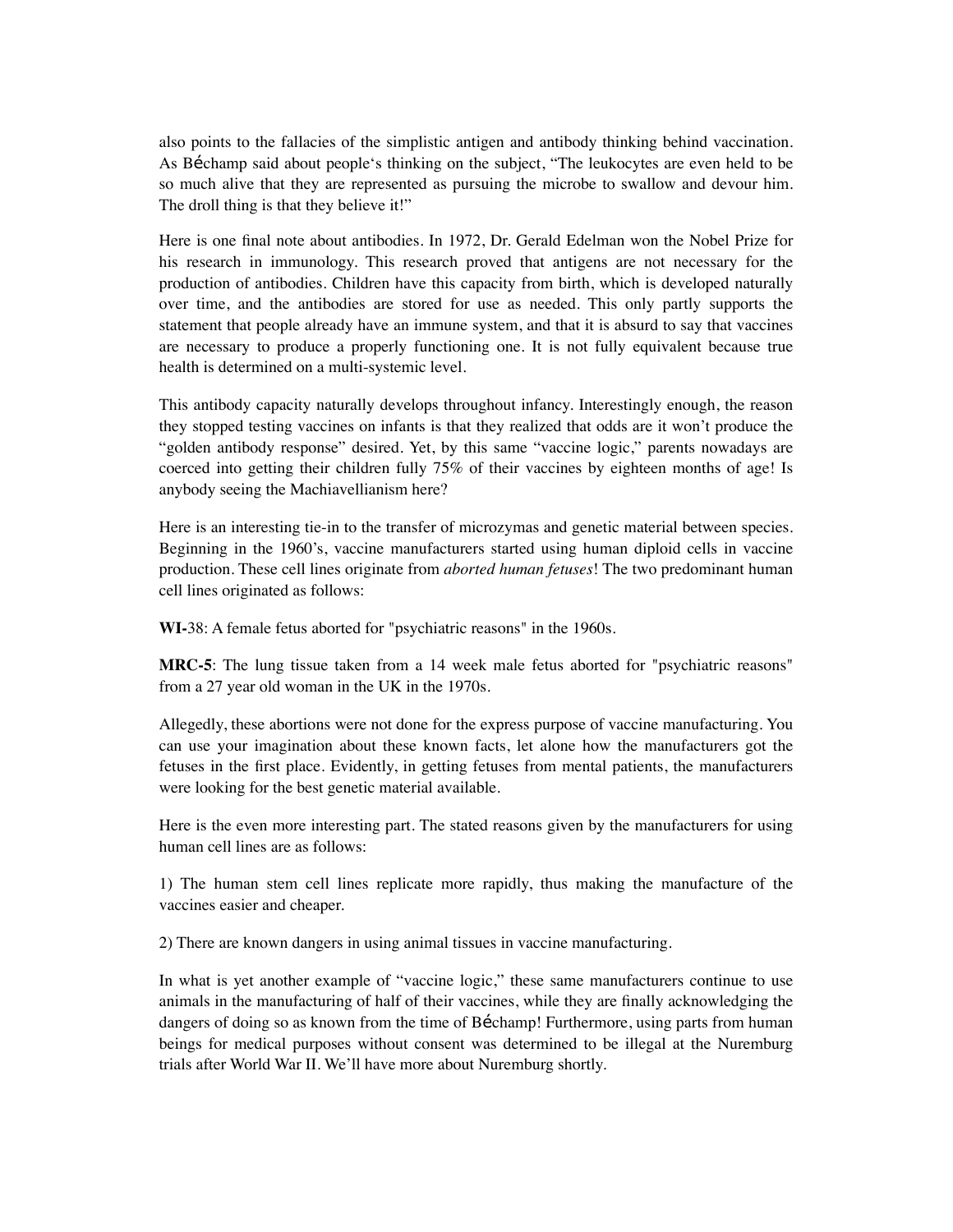also points to the fallacies of the simplistic antigen and antibody thinking behind vaccination. As Béchamp said about people's thinking on the subject, "The leukocytes are even held to be so much alive that they are represented as pursuing the microbe to swallow and devour him. The droll thing is that they believe it!"

Here is one final note about antibodies. In 1972, Dr. Gerald Edelman won the Nobel Prize for his research in immunology. This research proved that antigens are not necessary for the production of antibodies. Children have this capacity from birth, which is developed naturally over time, and the antibodies are stored for use as needed. This only partly supports the statement that people already have an immune system, and that it is absurd to say that vaccines are necessary to produce a properly functioning one. It is not fully equivalent because true health is determined on a multi-systemic level.

This antibody capacity naturally develops throughout infancy. Interestingly enough, the reason they stopped testing vaccines on infants is that they realized that odds are it won't produce the "golden antibody response" desired. Yet, by this same "vaccine logic," parents nowadays are coerced into getting their children fully 75% of their vaccines by eighteen months of age! Is anybody seeing the Machiavellianism here?

Here is an interesting tie-in to the transfer of microzymas and genetic material between species. Beginning in the 1960's, vaccine manufacturers started using human diploid cells in vaccine production. These cell lines originate from *aborted human fetuses*! The two predominant human cell lines originated as follows:

**WI-**38: A female fetus aborted for "psychiatric reasons" in the 1960s.

**MRC-5**: The lung tissue taken from a 14 week male fetus aborted for "psychiatric reasons" from a 27 year old woman in the UK in the 1970s.

Allegedly, these abortions were not done for the express purpose of vaccine manufacturing. You can use your imagination about these known facts, let alone how the manufacturers got the fetuses in the first place. Evidently, in getting fetuses from mental patients, the manufacturers were looking for the best genetic material available.

Here is the even more interesting part. The stated reasons given by the manufacturers for using human cell lines are as follows:

1) The human stem cell lines replicate more rapidly, thus making the manufacture of the vaccines easier and cheaper.

2) There are known dangers in using animal tissues in vaccine manufacturing.

In what is yet another example of "vaccine logic," these same manufacturers continue to use animals in the manufacturing of half of their vaccines, while they are finally acknowledging the dangers of doing so as known from the time of Béchamp! Furthermore, using parts from human beings for medical purposes without consent was determined to be illegal at the Nuremburg trials after World War II. We'll have more about Nuremburg shortly.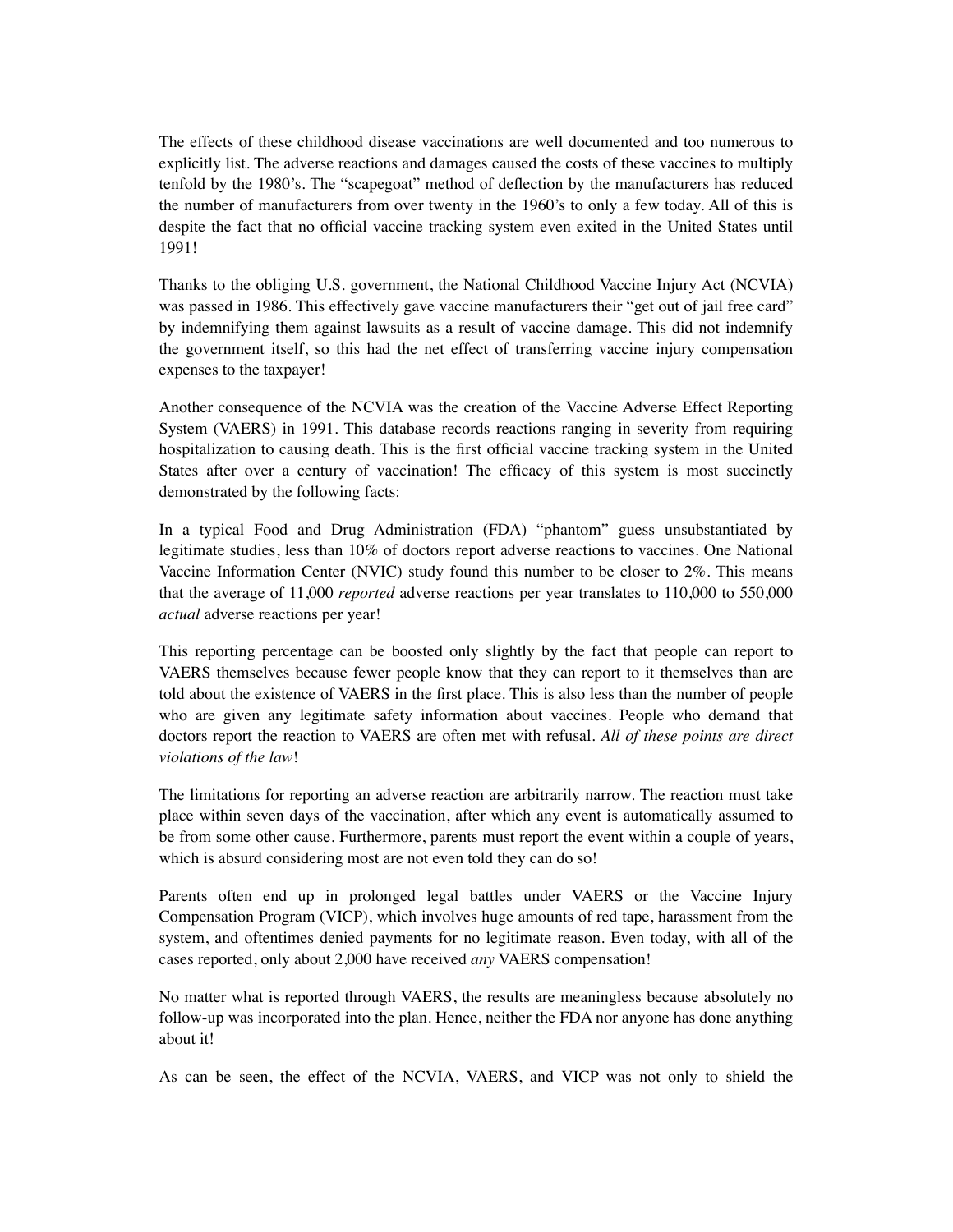The effects of these childhood disease vaccinations are well documented and too numerous to explicitly list. The adverse reactions and damages caused the costs of these vaccines to multiply tenfold by the 1980's. The "scapegoat" method of deflection by the manufacturers has reduced the number of manufacturers from over twenty in the 1960's to only a few today. All of this is despite the fact that no official vaccine tracking system even exited in the United States until 1991!

Thanks to the obliging U.S. government, the National Childhood Vaccine Injury Act (NCVIA) was passed in 1986. This effectively gave vaccine manufacturers their "get out of jail free card" by indemnifying them against lawsuits as a result of vaccine damage. This did not indemnify the government itself, so this had the net effect of transferring vaccine injury compensation expenses to the taxpayer!

Another consequence of the NCVIA was the creation of the Vaccine Adverse Effect Reporting System (VAERS) in 1991. This database records reactions ranging in severity from requiring hospitalization to causing death. This is the first official vaccine tracking system in the United States after over a century of vaccination! The efficacy of this system is most succinctly demonstrated by the following facts:

In a typical Food and Drug Administration (FDA) "phantom" guess unsubstantiated by legitimate studies, less than 10% of doctors report adverse reactions to vaccines. One National Vaccine Information Center (NVIC) study found this number to be closer to 2%. This means that the average of 11,000 *reported* adverse reactions per year translates to 110,000 to 550,000 *actual* adverse reactions per year!

This reporting percentage can be boosted only slightly by the fact that people can report to VAERS themselves because fewer people know that they can report to it themselves than are told about the existence of VAERS in the first place. This is also less than the number of people who are given any legitimate safety information about vaccines. People who demand that doctors report the reaction to VAERS are often met with refusal. *All of these points are direct violations of the law*!

The limitations for reporting an adverse reaction are arbitrarily narrow. The reaction must take place within seven days of the vaccination, after which any event is automatically assumed to be from some other cause. Furthermore, parents must report the event within a couple of years, which is absurd considering most are not even told they can do so!

Parents often end up in prolonged legal battles under VAERS or the Vaccine Injury Compensation Program (VICP), which involves huge amounts of red tape, harassment from the system, and oftentimes denied payments for no legitimate reason. Even today, with all of the cases reported, only about 2,000 have received *any* VAERS compensation!

No matter what is reported through VAERS, the results are meaningless because absolutely no follow-up was incorporated into the plan. Hence, neither the FDA nor anyone has done anything about it!

As can be seen, the effect of the NCVIA, VAERS, and VICP was not only to shield the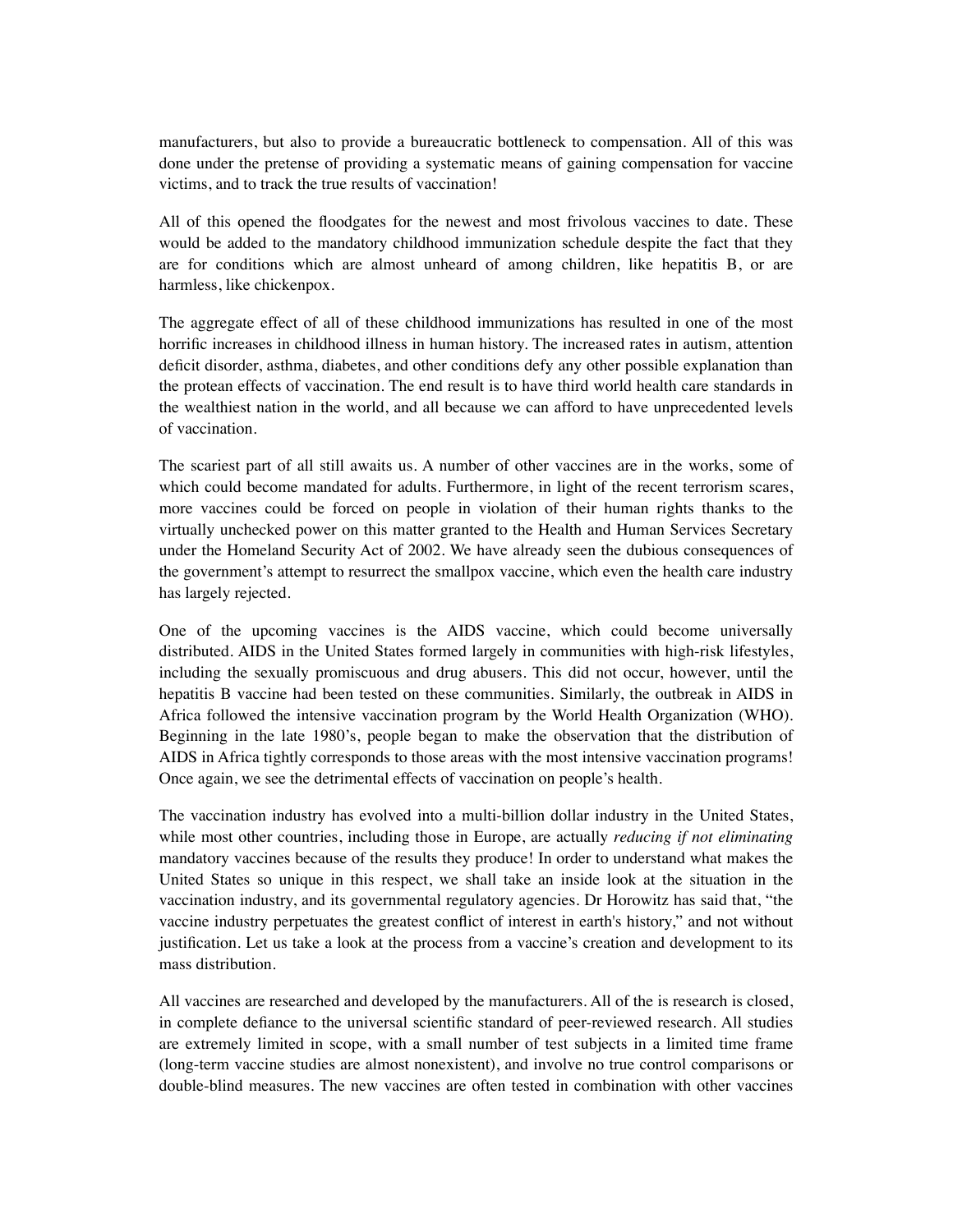manufacturers, but also to provide a bureaucratic bottleneck to compensation. All of this was done under the pretense of providing a systematic means of gaining compensation for vaccine victims, and to track the true results of vaccination!

All of this opened the floodgates for the newest and most frivolous vaccines to date. These would be added to the mandatory childhood immunization schedule despite the fact that they are for conditions which are almost unheard of among children, like hepatitis B, or are harmless, like chickenpox.

The aggregate effect of all of these childhood immunizations has resulted in one of the most horrific increases in childhood illness in human history. The increased rates in autism, attention deficit disorder, asthma, diabetes, and other conditions defy any other possible explanation than the protean effects of vaccination. The end result is to have third world health care standards in the wealthiest nation in the world, and all because we can afford to have unprecedented levels of vaccination.

The scariest part of all still awaits us. A number of other vaccines are in the works, some of which could become mandated for adults. Furthermore, in light of the recent terrorism scares, more vaccines could be forced on people in violation of their human rights thanks to the virtually unchecked power on this matter granted to the Health and Human Services Secretary under the Homeland Security Act of 2002. We have already seen the dubious consequences of the government's attempt to resurrect the smallpox vaccine, which even the health care industry has largely rejected.

One of the upcoming vaccines is the AIDS vaccine, which could become universally distributed. AIDS in the United States formed largely in communities with high-risk lifestyles, including the sexually promiscuous and drug abusers. This did not occur, however, until the hepatitis B vaccine had been tested on these communities. Similarly, the outbreak in AIDS in Africa followed the intensive vaccination program by the World Health Organization (WHO). Beginning in the late 1980's, people began to make the observation that the distribution of AIDS in Africa tightly corresponds to those areas with the most intensive vaccination programs! Once again, we see the detrimental effects of vaccination on people's health.

The vaccination industry has evolved into a multi-billion dollar industry in the United States, while most other countries, including those in Europe, are actually *reducing if not eliminating* mandatory vaccines because of the results they produce! In order to understand what makes the United States so unique in this respect, we shall take an inside look at the situation in the vaccination industry, and its governmental regulatory agencies. Dr Horowitz has said that, "the vaccine industry perpetuates the greatest conflict of interest in earth's history," and not without justification. Let us take a look at the process from a vaccine's creation and development to its mass distribution.

All vaccines are researched and developed by the manufacturers. All of the is research is closed, in complete defiance to the universal scientific standard of peer-reviewed research. All studies are extremely limited in scope, with a small number of test subjects in a limited time frame (long-term vaccine studies are almost nonexistent), and involve no true control comparisons or double-blind measures. The new vaccines are often tested in combination with other vaccines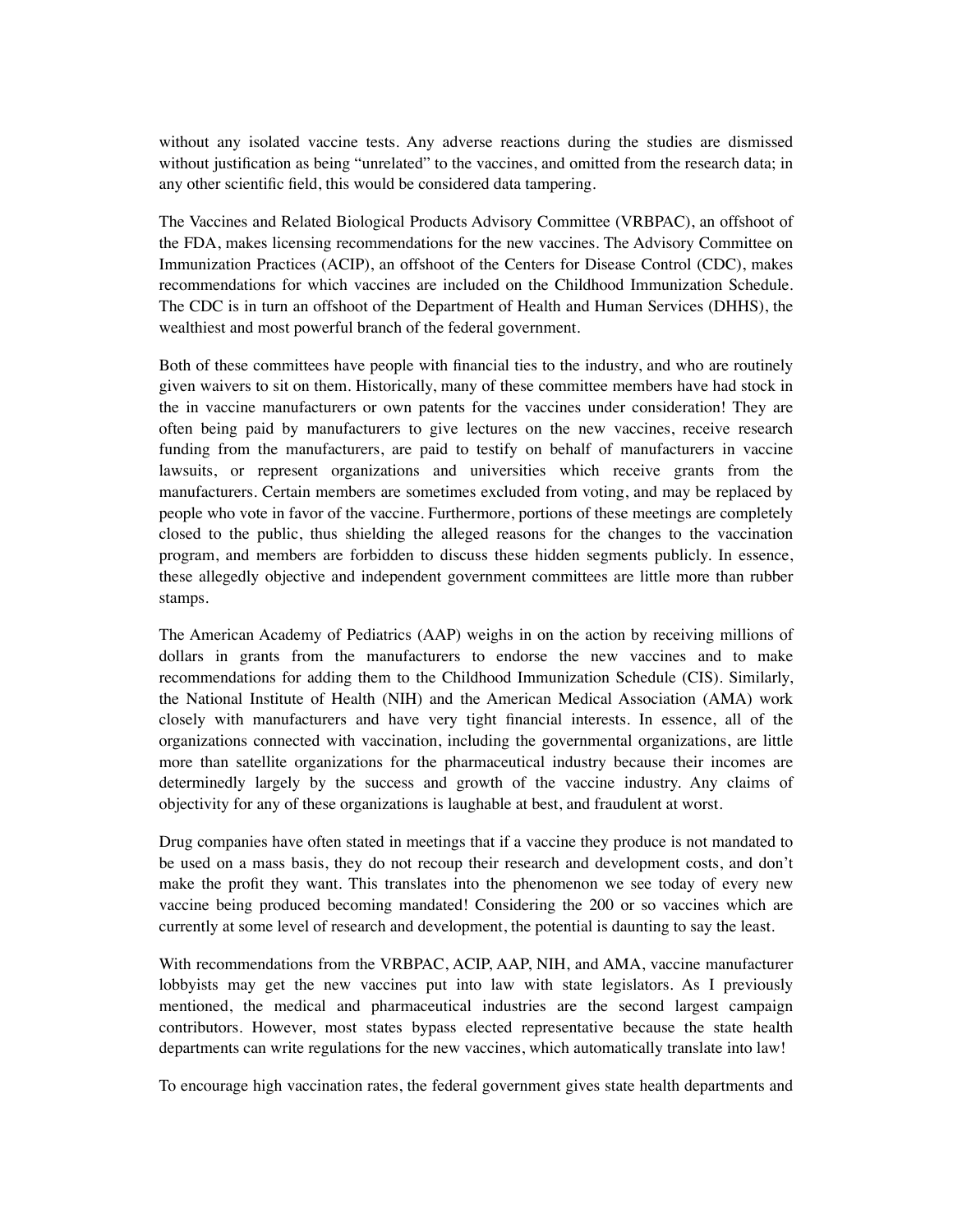without any isolated vaccine tests. Any adverse reactions during the studies are dismissed without justification as being "unrelated" to the vaccines, and omitted from the research data; in any other scientific field, this would be considered data tampering.

The Vaccines and Related Biological Products Advisory Committee (VRBPAC), an offshoot of the FDA, makes licensing recommendations for the new vaccines. The Advisory Committee on Immunization Practices (ACIP), an offshoot of the Centers for Disease Control (CDC), makes recommendations for which vaccines are included on the Childhood Immunization Schedule. The CDC is in turn an offshoot of the Department of Health and Human Services (DHHS), the wealthiest and most powerful branch of the federal government.

Both of these committees have people with financial ties to the industry, and who are routinely given waivers to sit on them. Historically, many of these committee members have had stock in the in vaccine manufacturers or own patents for the vaccines under consideration! They are often being paid by manufacturers to give lectures on the new vaccines, receive research funding from the manufacturers, are paid to testify on behalf of manufacturers in vaccine lawsuits, or represent organizations and universities which receive grants from the manufacturers. Certain members are sometimes excluded from voting, and may be replaced by people who vote in favor of the vaccine. Furthermore, portions of these meetings are completely closed to the public, thus shielding the alleged reasons for the changes to the vaccination program, and members are forbidden to discuss these hidden segments publicly. In essence, these allegedly objective and independent government committees are little more than rubber stamps.

The American Academy of Pediatrics (AAP) weighs in on the action by receiving millions of dollars in grants from the manufacturers to endorse the new vaccines and to make recommendations for adding them to the Childhood Immunization Schedule (CIS). Similarly, the National Institute of Health (NIH) and the American Medical Association (AMA) work closely with manufacturers and have very tight financial interests. In essence, all of the organizations connected with vaccination, including the governmental organizations, are little more than satellite organizations for the pharmaceutical industry because their incomes are determinedly largely by the success and growth of the vaccine industry. Any claims of objectivity for any of these organizations is laughable at best, and fraudulent at worst.

Drug companies have often stated in meetings that if a vaccine they produce is not mandated to be used on a mass basis, they do not recoup their research and development costs, and don't make the profit they want. This translates into the phenomenon we see today of every new vaccine being produced becoming mandated! Considering the 200 or so vaccines which are currently at some level of research and development, the potential is daunting to say the least.

With recommendations from the VRBPAC, ACIP, AAP, NIH, and AMA, vaccine manufacturer lobbyists may get the new vaccines put into law with state legislators. As I previously mentioned, the medical and pharmaceutical industries are the second largest campaign contributors. However, most states bypass elected representative because the state health departments can write regulations for the new vaccines, which automatically translate into law!

To encourage high vaccination rates, the federal government gives state health departments and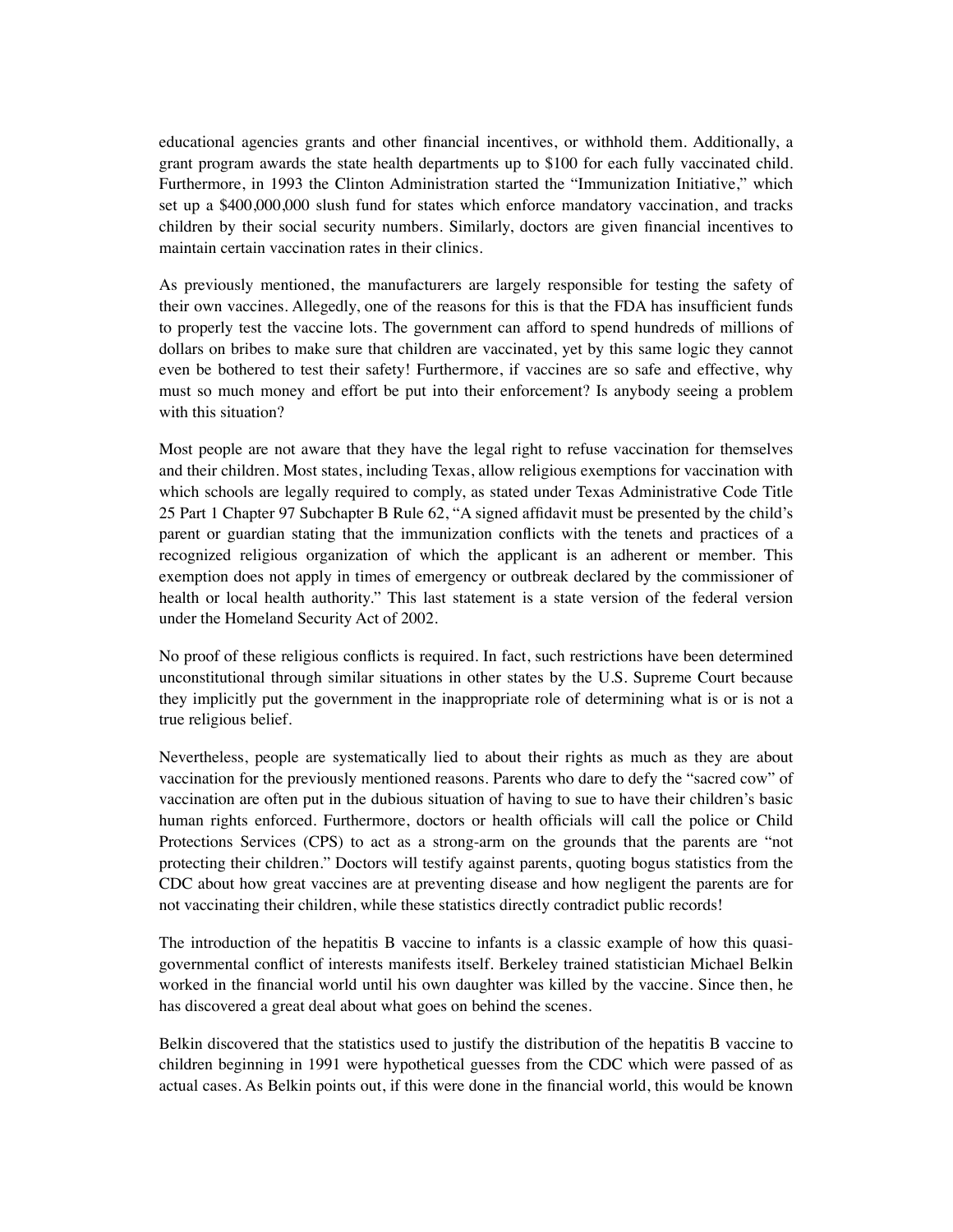educational agencies grants and other financial incentives, or withhold them. Additionally, a grant program awards the state health departments up to \$100 for each fully vaccinated child. Furthermore, in 1993 the Clinton Administration started the "Immunization Initiative," which set up a \$400,000,000 slush fund for states which enforce mandatory vaccination, and tracks children by their social security numbers. Similarly, doctors are given financial incentives to maintain certain vaccination rates in their clinics.

As previously mentioned, the manufacturers are largely responsible for testing the safety of their own vaccines. Allegedly, one of the reasons for this is that the FDA has insufficient funds to properly test the vaccine lots. The government can afford to spend hundreds of millions of dollars on bribes to make sure that children are vaccinated, yet by this same logic they cannot even be bothered to test their safety! Furthermore, if vaccines are so safe and effective, why must so much money and effort be put into their enforcement? Is anybody seeing a problem with this situation?

Most people are not aware that they have the legal right to refuse vaccination for themselves and their children. Most states, including Texas, allow religious exemptions for vaccination with which schools are legally required to comply, as stated under Texas Administrative Code Title 25 Part 1 Chapter 97 Subchapter B Rule 62, "A signed affidavit must be presented by the child's parent or guardian stating that the immunization conflicts with the tenets and practices of a recognized religious organization of which the applicant is an adherent or member. This exemption does not apply in times of emergency or outbreak declared by the commissioner of health or local health authority." This last statement is a state version of the federal version under the Homeland Security Act of 2002.

No proof of these religious conflicts is required. In fact, such restrictions have been determined unconstitutional through similar situations in other states by the U.S. Supreme Court because they implicitly put the government in the inappropriate role of determining what is or is not a true religious belief.

Nevertheless, people are systematically lied to about their rights as much as they are about vaccination for the previously mentioned reasons. Parents who dare to defy the "sacred cow" of vaccination are often put in the dubious situation of having to sue to have their children's basic human rights enforced. Furthermore, doctors or health officials will call the police or Child Protections Services (CPS) to act as a strong-arm on the grounds that the parents are "not protecting their children." Doctors will testify against parents, quoting bogus statistics from the CDC about how great vaccines are at preventing disease and how negligent the parents are for not vaccinating their children, while these statistics directly contradict public records!

The introduction of the hepatitis B vaccine to infants is a classic example of how this quasigovernmental conflict of interests manifests itself. Berkeley trained statistician Michael Belkin worked in the financial world until his own daughter was killed by the vaccine. Since then, he has discovered a great deal about what goes on behind the scenes.

Belkin discovered that the statistics used to justify the distribution of the hepatitis B vaccine to children beginning in 1991 were hypothetical guesses from the CDC which were passed of as actual cases. As Belkin points out, if this were done in the financial world, this would be known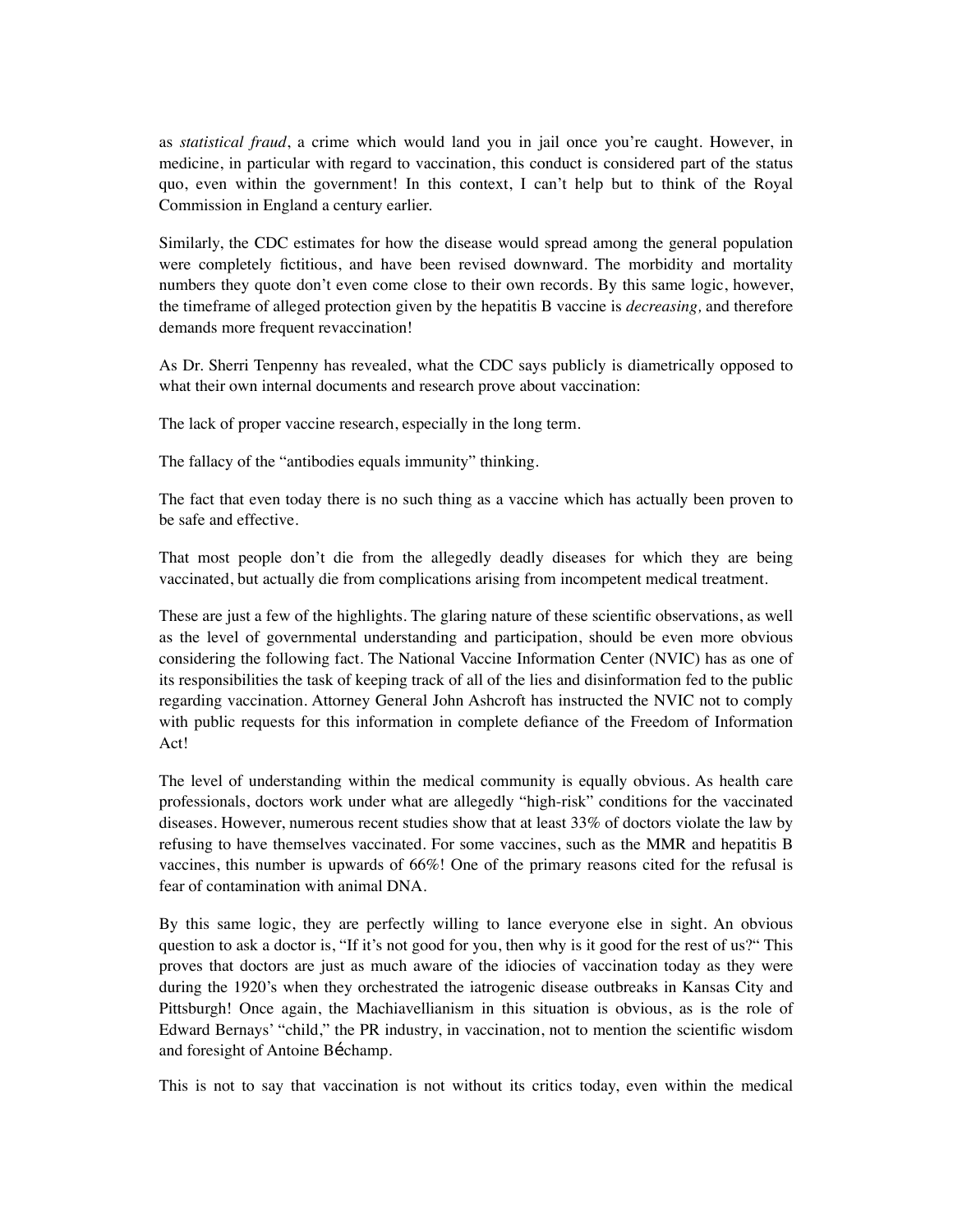as *statistical fraud*, a crime which would land you in jail once you're caught. However, in medicine, in particular with regard to vaccination, this conduct is considered part of the status quo, even within the government! In this context, I can't help but to think of the Royal Commission in England a century earlier.

Similarly, the CDC estimates for how the disease would spread among the general population were completely fictitious, and have been revised downward. The morbidity and mortality numbers they quote don't even come close to their own records. By this same logic, however, the timeframe of alleged protection given by the hepatitis B vaccine is *decreasing,* and therefore demands more frequent revaccination!

As Dr. Sherri Tenpenny has revealed, what the CDC says publicly is diametrically opposed to what their own internal documents and research prove about vaccination:

The lack of proper vaccine research, especially in the long term.

The fallacy of the "antibodies equals immunity" thinking.

The fact that even today there is no such thing as a vaccine which has actually been proven to be safe and effective.

That most people don't die from the allegedly deadly diseases for which they are being vaccinated, but actually die from complications arising from incompetent medical treatment.

These are just a few of the highlights. The glaring nature of these scientific observations, as well as the level of governmental understanding and participation, should be even more obvious considering the following fact. The National Vaccine Information Center (NVIC) has as one of its responsibilities the task of keeping track of all of the lies and disinformation fed to the public regarding vaccination. Attorney General John Ashcroft has instructed the NVIC not to comply with public requests for this information in complete defiance of the Freedom of Information Act!

The level of understanding within the medical community is equally obvious. As health care professionals, doctors work under what are allegedly "high-risk" conditions for the vaccinated diseases. However, numerous recent studies show that at least 33% of doctors violate the law by refusing to have themselves vaccinated. For some vaccines, such as the MMR and hepatitis B vaccines, this number is upwards of 66%! One of the primary reasons cited for the refusal is fear of contamination with animal DNA.

By this same logic, they are perfectly willing to lance everyone else in sight. An obvious question to ask a doctor is, "If it's not good for you, then why is it good for the rest of us?" This proves that doctors are just as much aware of the idiocies of vaccination today as they were during the 1920's when they orchestrated the iatrogenic disease outbreaks in Kansas City and Pittsburgh! Once again, the Machiavellianism in this situation is obvious, as is the role of Edward Bernays' "child," the PR industry, in vaccination, not to mention the scientific wisdom and foresight of Antoine Béchamp.

This is not to say that vaccination is not without its critics today, even within the medical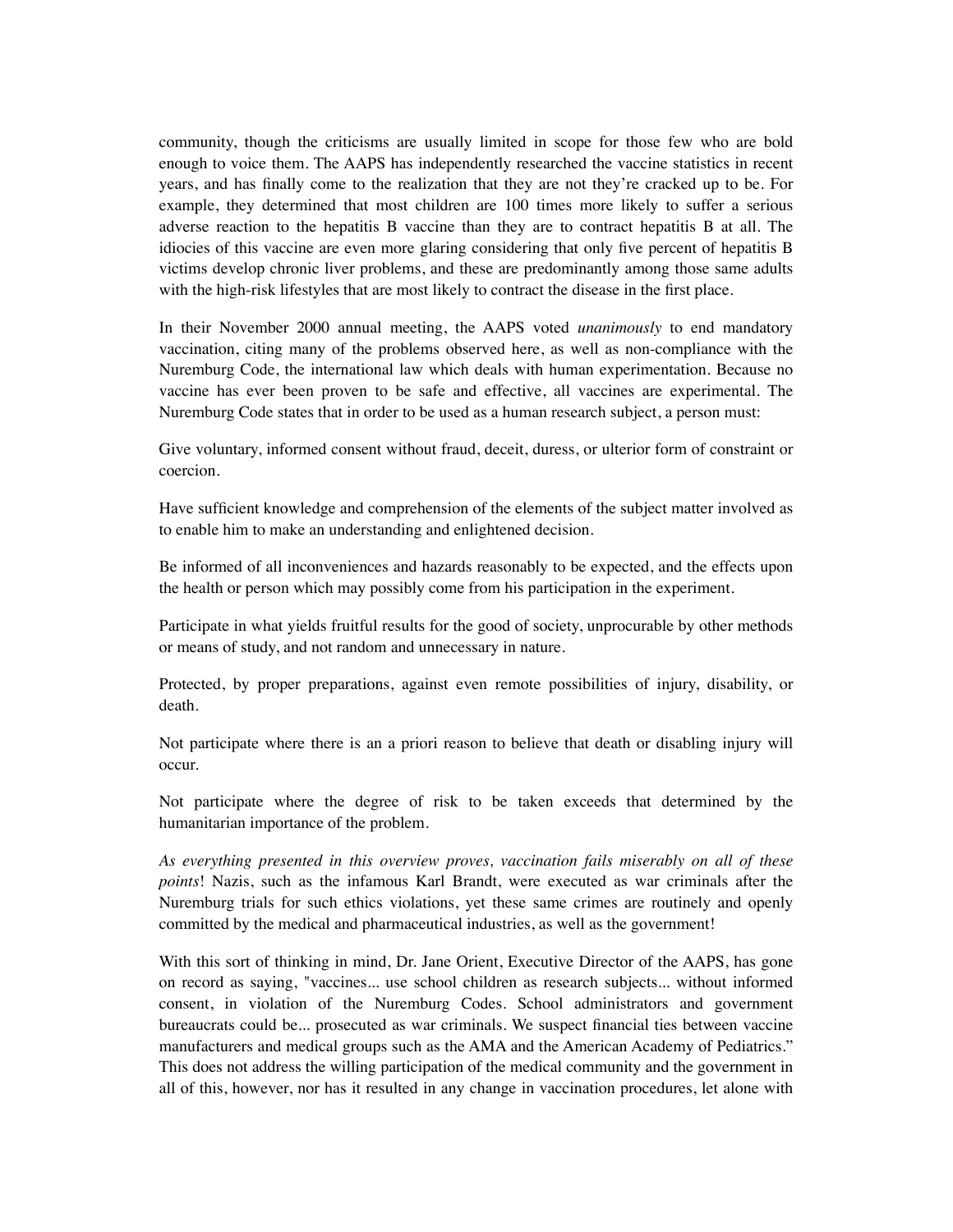community, though the criticisms are usually limited in scope for those few who are bold enough to voice them. The AAPS has independently researched the vaccine statistics in recent years, and has finally come to the realization that they are not they're cracked up to be. For example, they determined that most children are 100 times more likely to suffer a serious adverse reaction to the hepatitis B vaccine than they are to contract hepatitis B at all. The idiocies of this vaccine are even more glaring considering that only five percent of hepatitis B victims develop chronic liver problems, and these are predominantly among those same adults with the high-risk lifestyles that are most likely to contract the disease in the first place.

In their November 2000 annual meeting, the AAPS voted *unanimously* to end mandatory vaccination, citing many of the problems observed here, as well as non-compliance with the Nuremburg Code, the international law which deals with human experimentation. Because no vaccine has ever been proven to be safe and effective, all vaccines are experimental. The Nuremburg Code states that in order to be used as a human research subject, a person must:

Give voluntary, informed consent without fraud, deceit, duress, or ulterior form of constraint or coercion.

Have sufficient knowledge and comprehension of the elements of the subject matter involved as to enable him to make an understanding and enlightened decision.

Be informed of all inconveniences and hazards reasonably to be expected, and the effects upon the health or person which may possibly come from his participation in the experiment.

Participate in what yields fruitful results for the good of society, unprocurable by other methods or means of study, and not random and unnecessary in nature.

Protected, by proper preparations, against even remote possibilities of injury, disability, or death.

Not participate where there is an a priori reason to believe that death or disabling injury will occur.

Not participate where the degree of risk to be taken exceeds that determined by the humanitarian importance of the problem.

*As everything presented in this overview proves, vaccination fails miserably on all of these points*! Nazis, such as the infamous Karl Brandt, were executed as war criminals after the Nuremburg trials for such ethics violations, yet these same crimes are routinely and openly committed by the medical and pharmaceutical industries, as well as the government!

With this sort of thinking in mind, Dr. Jane Orient, Executive Director of the AAPS, has gone on record as saying, "vaccines... use school children as research subjects... without informed consent, in violation of the Nuremburg Codes. School administrators and government bureaucrats could be... prosecuted as war criminals. We suspect financial ties between vaccine manufacturers and medical groups such as the AMA and the American Academy of Pediatrics." This does not address the willing participation of the medical community and the government in all of this, however, nor has it resulted in any change in vaccination procedures, let alone with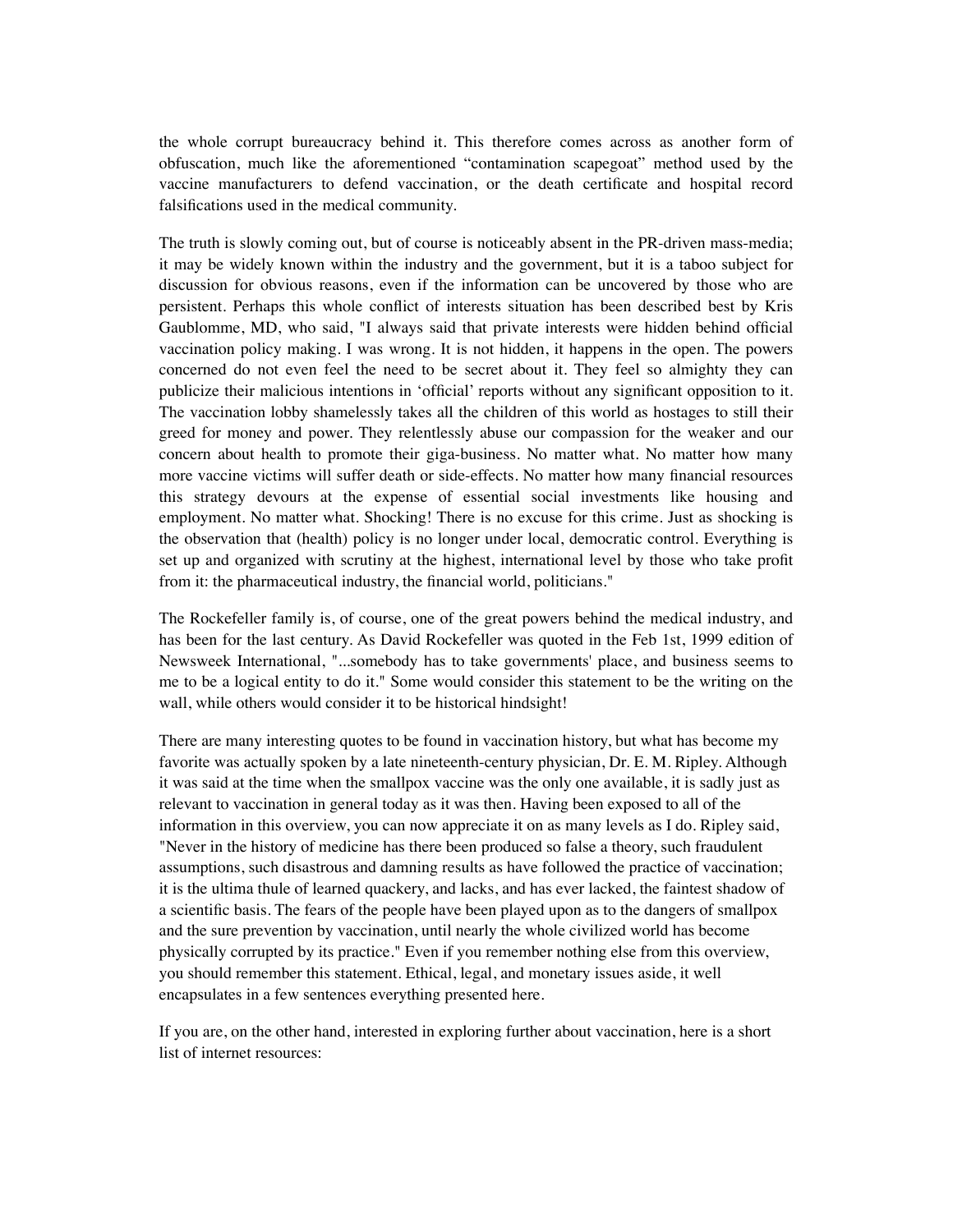the whole corrupt bureaucracy behind it. This therefore comes across as another form of obfuscation, much like the aforementioned "contamination scapegoat" method used by the vaccine manufacturers to defend vaccination, or the death certificate and hospital record falsifications used in the medical community.

The truth is slowly coming out, but of course is noticeably absent in the PR-driven mass-media; it may be widely known within the industry and the government, but it is a taboo subject for discussion for obvious reasons, even if the information can be uncovered by those who are persistent. Perhaps this whole conflict of interests situation has been described best by Kris Gaublomme, MD, who said, "I always said that private interests were hidden behind official vaccination policy making. I was wrong. It is not hidden, it happens in the open. The powers concerned do not even feel the need to be secret about it. They feel so almighty they can publicize their malicious intentions in 'official' reports without any significant opposition to it. The vaccination lobby shamelessly takes all the children of this world as hostages to still their greed for money and power. They relentlessly abuse our compassion for the weaker and our concern about health to promote their giga-business. No matter what. No matter how many more vaccine victims will suffer death or side-effects. No matter how many financial resources this strategy devours at the expense of essential social investments like housing and employment. No matter what. Shocking! There is no excuse for this crime. Just as shocking is the observation that (health) policy is no longer under local, democratic control. Everything is set up and organized with scrutiny at the highest, international level by those who take profit from it: the pharmaceutical industry, the financial world, politicians."

The Rockefeller family is, of course, one of the great powers behind the medical industry, and has been for the last century. As David Rockefeller was quoted in the Feb 1st, 1999 edition of Newsweek International, "...somebody has to take governments' place, and business seems to me to be a logical entity to do it." Some would consider this statement to be the writing on the wall, while others would consider it to be historical hindsight!

There are many interesting quotes to be found in vaccination history, but what has become my favorite was actually spoken by a late nineteenth-century physician, Dr. E. M. Ripley. Although it was said at the time when the smallpox vaccine was the only one available, it is sadly just as relevant to vaccination in general today as it was then. Having been exposed to all of the information in this overview, you can now appreciate it on as many levels as I do. Ripley said, "Never in the history of medicine has there been produced so false a theory, such fraudulent assumptions, such disastrous and damning results as have followed the practice of vaccination; it is the ultima thule of learned quackery, and lacks, and has ever lacked, the faintest shadow of a scientific basis. The fears of the people have been played upon as to the dangers of smallpox and the sure prevention by vaccination, until nearly the whole civilized world has become physically corrupted by its practice." Even if you remember nothing else from this overview, you should remember this statement. Ethical, legal, and monetary issues aside, it well encapsulates in a few sentences everything presented here.

If you are, on the other hand, interested in exploring further about vaccination, here is a short list of internet resources: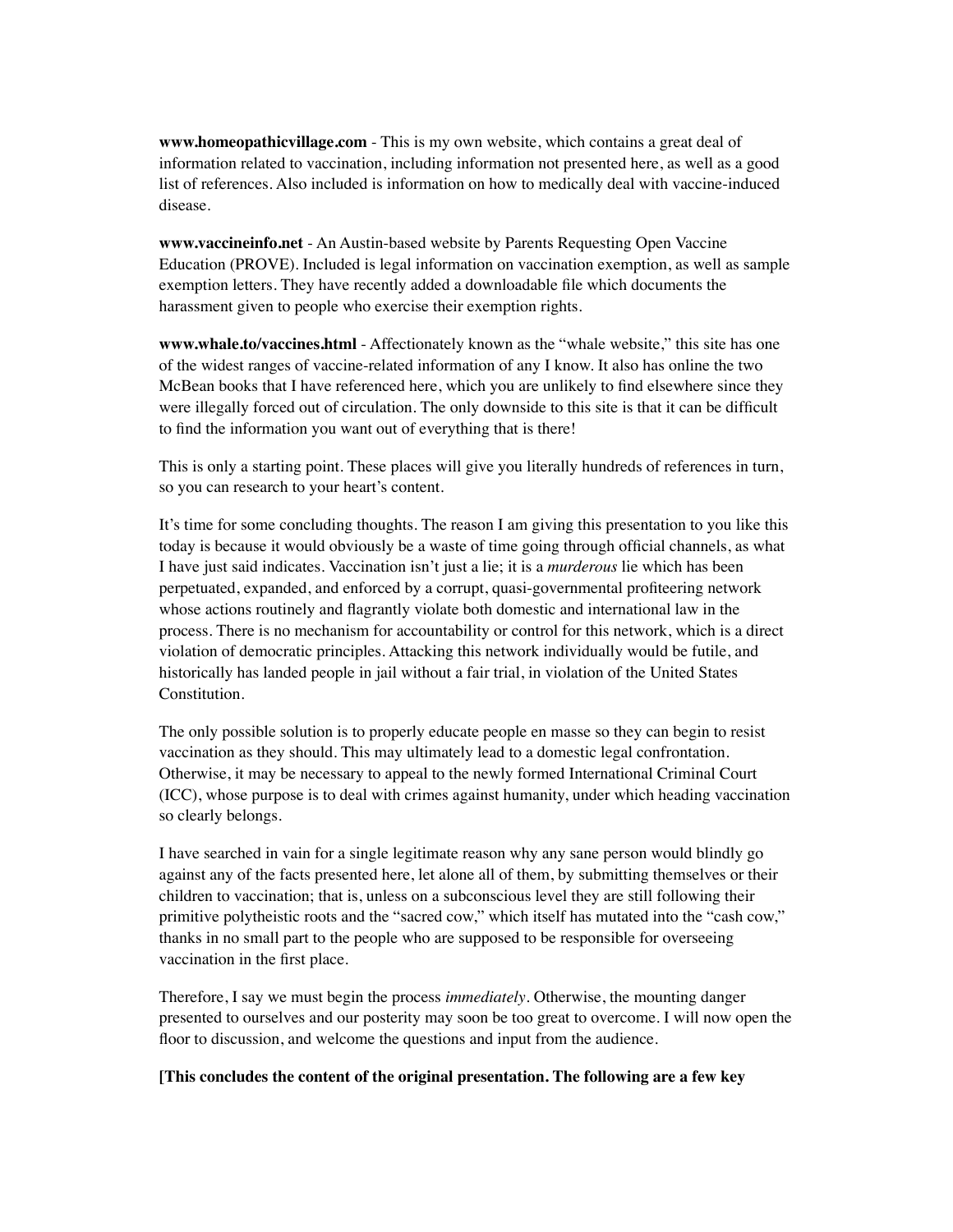**www.homeopathicvillage.com** - This is my own website, which contains a great deal of information related to vaccination, including information not presented here, as well as a good list of references. Also included is information on how to medically deal with vaccine-induced disease.

**www.vaccineinfo.net** - An Austin-based website by Parents Requesting Open Vaccine Education (PROVE). Included is legal information on vaccination exemption, as well as sample exemption letters. They have recently added a downloadable file which documents the harassment given to people who exercise their exemption rights.

**www.whale.to/vaccines.html** - Affectionately known as the "whale website," this site has one of the widest ranges of vaccine-related information of any I know. It also has online the two McBean books that I have referenced here, which you are unlikely to find elsewhere since they were illegally forced out of circulation. The only downside to this site is that it can be difficult to find the information you want out of everything that is there!

This is only a starting point. These places will give you literally hundreds of references in turn, so you can research to your heart's content.

It's time for some concluding thoughts. The reason I am giving this presentation to you like this today is because it would obviously be a waste of time going through official channels, as what I have just said indicates. Vaccination isn't just a lie; it is a *murderous* lie which has been perpetuated, expanded, and enforced by a corrupt, quasi-governmental profiteering network whose actions routinely and flagrantly violate both domestic and international law in the process. There is no mechanism for accountability or control for this network, which is a direct violation of democratic principles. Attacking this network individually would be futile, and historically has landed people in jail without a fair trial, in violation of the United States Constitution.

The only possible solution is to properly educate people en masse so they can begin to resist vaccination as they should. This may ultimately lead to a domestic legal confrontation. Otherwise, it may be necessary to appeal to the newly formed International Criminal Court (ICC), whose purpose is to deal with crimes against humanity, under which heading vaccination so clearly belongs.

I have searched in vain for a single legitimate reason why any sane person would blindly go against any of the facts presented here, let alone all of them, by submitting themselves or their children to vaccination; that is, unless on a subconscious level they are still following their primitive polytheistic roots and the "sacred cow," which itself has mutated into the "cash cow," thanks in no small part to the people who are supposed to be responsible for overseeing vaccination in the first place.

Therefore, I say we must begin the process *immediately*. Otherwise, the mounting danger presented to ourselves and our posterity may soon be too great to overcome. I will now open the floor to discussion, and welcome the questions and input from the audience.

#### **[This concludes the content of the original presentation. The following are a few key**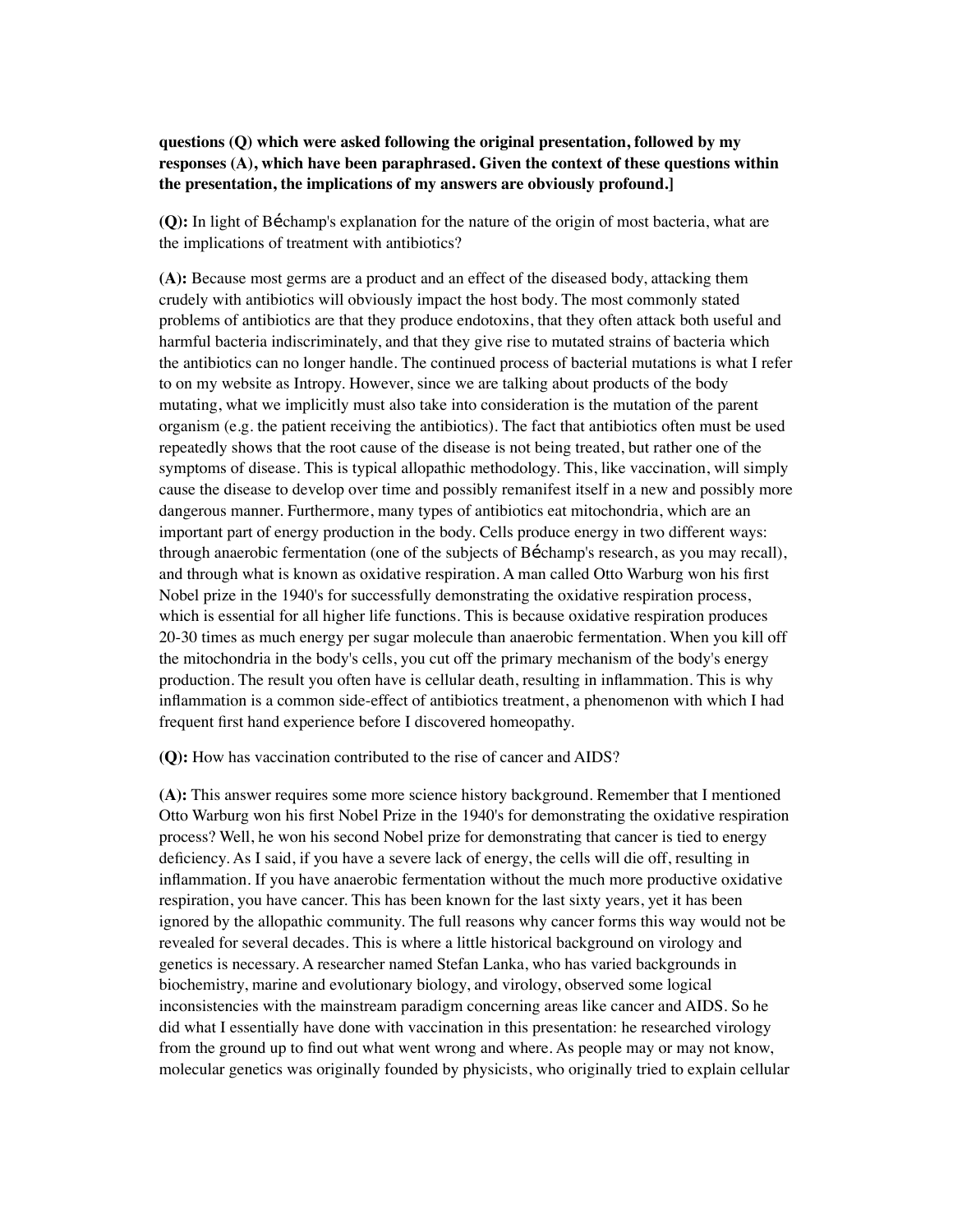### **questions (Q) which were asked following the original presentation, followed by my responses (A), which have been paraphrased. Given the context of these questions within the presentation, the implications of my answers are obviously profound.]**

**(Q):** In light of Béchamp's explanation for the nature of the origin of most bacteria, what are the implications of treatment with antibiotics?

**(A):** Because most germs are a product and an effect of the diseased body, attacking them crudely with antibiotics will obviously impact the host body. The most commonly stated problems of antibiotics are that they produce endotoxins, that they often attack both useful and harmful bacteria indiscriminately, and that they give rise to mutated strains of bacteria which the antibiotics can no longer handle. The continued process of bacterial mutations is what I refer to on my website as Intropy. However, since we are talking about products of the body mutating, what we implicitly must also take into consideration is the mutation of the parent organism (e.g. the patient receiving the antibiotics). The fact that antibiotics often must be used repeatedly shows that the root cause of the disease is not being treated, but rather one of the symptoms of disease. This is typical allopathic methodology. This, like vaccination, will simply cause the disease to develop over time and possibly remanifest itself in a new and possibly more dangerous manner. Furthermore, many types of antibiotics eat mitochondria, which are an important part of energy production in the body. Cells produce energy in two different ways: through anaerobic fermentation (one of the subjects of Béchamp's research, as you may recall), and through what is known as oxidative respiration. A man called Otto Warburg won his first Nobel prize in the 1940's for successfully demonstrating the oxidative respiration process, which is essential for all higher life functions. This is because oxidative respiration produces 20-30 times as much energy per sugar molecule than anaerobic fermentation. When you kill off the mitochondria in the body's cells, you cut off the primary mechanism of the body's energy production. The result you often have is cellular death, resulting in inflammation. This is why inflammation is a common side-effect of antibiotics treatment, a phenomenon with which I had frequent first hand experience before I discovered homeopathy.

**(Q):** How has vaccination contributed to the rise of cancer and AIDS?

**(A):** This answer requires some more science history background. Remember that I mentioned Otto Warburg won his first Nobel Prize in the 1940's for demonstrating the oxidative respiration process? Well, he won his second Nobel prize for demonstrating that cancer is tied to energy deficiency. As I said, if you have a severe lack of energy, the cells will die off, resulting in inflammation. If you have anaerobic fermentation without the much more productive oxidative respiration, you have cancer. This has been known for the last sixty years, yet it has been ignored by the allopathic community. The full reasons why cancer forms this way would not be revealed for several decades. This is where a little historical background on virology and genetics is necessary. A researcher named Stefan Lanka, who has varied backgrounds in biochemistry, marine and evolutionary biology, and virology, observed some logical inconsistencies with the mainstream paradigm concerning areas like cancer and AIDS. So he did what I essentially have done with vaccination in this presentation: he researched virology from the ground up to find out what went wrong and where. As people may or may not know, molecular genetics was originally founded by physicists, who originally tried to explain cellular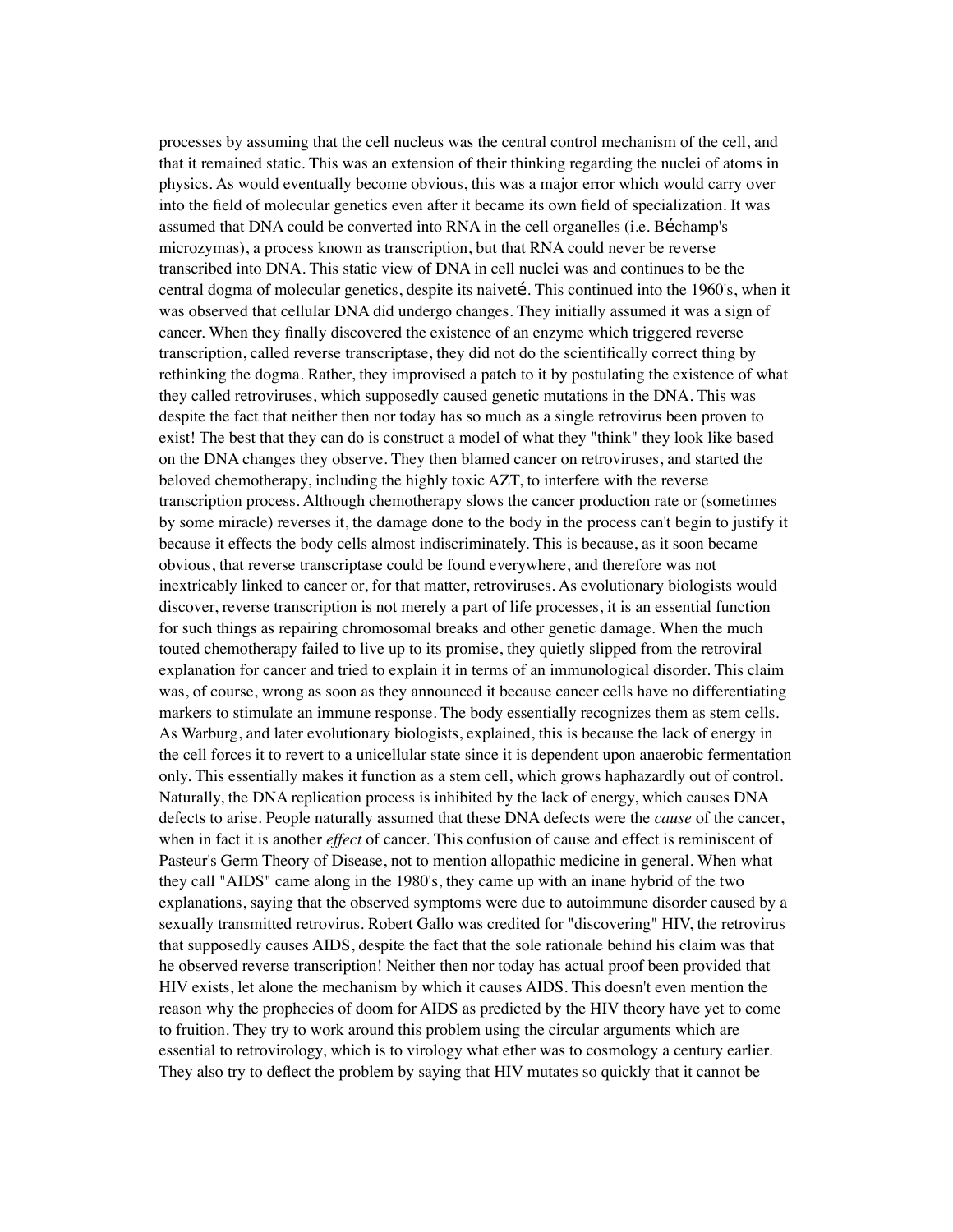processes by assuming that the cell nucleus was the central control mechanism of the cell, and that it remained static. This was an extension of their thinking regarding the nuclei of atoms in physics. As would eventually become obvious, this was a major error which would carry over into the field of molecular genetics even after it became its own field of specialization. It was assumed that DNA could be converted into RNA in the cell organelles (i.e. Béchamp's microzymas), a process known as transcription, but that RNA could never be reverse transcribed into DNA. This static view of DNA in cell nuclei was and continues to be the central dogma of molecular genetics, despite its naiveté. This continued into the 1960's, when it was observed that cellular DNA did undergo changes. They initially assumed it was a sign of cancer. When they finally discovered the existence of an enzyme which triggered reverse transcription, called reverse transcriptase, they did not do the scientifically correct thing by rethinking the dogma. Rather, they improvised a patch to it by postulating the existence of what they called retroviruses, which supposedly caused genetic mutations in the DNA. This was despite the fact that neither then nor today has so much as a single retrovirus been proven to exist! The best that they can do is construct a model of what they "think" they look like based on the DNA changes they observe. They then blamed cancer on retroviruses, and started the beloved chemotherapy, including the highly toxic AZT, to interfere with the reverse transcription process. Although chemotherapy slows the cancer production rate or (sometimes by some miracle) reverses it, the damage done to the body in the process can't begin to justify it because it effects the body cells almost indiscriminately. This is because, as it soon became obvious, that reverse transcriptase could be found everywhere, and therefore was not inextricably linked to cancer or, for that matter, retroviruses. As evolutionary biologists would discover, reverse transcription is not merely a part of life processes, it is an essential function for such things as repairing chromosomal breaks and other genetic damage. When the much touted chemotherapy failed to live up to its promise, they quietly slipped from the retroviral explanation for cancer and tried to explain it in terms of an immunological disorder. This claim was, of course, wrong as soon as they announced it because cancer cells have no differentiating markers to stimulate an immune response. The body essentially recognizes them as stem cells. As Warburg, and later evolutionary biologists, explained, this is because the lack of energy in the cell forces it to revert to a unicellular state since it is dependent upon anaerobic fermentation only. This essentially makes it function as a stem cell, which grows haphazardly out of control. Naturally, the DNA replication process is inhibited by the lack of energy, which causes DNA defects to arise. People naturally assumed that these DNA defects were the *cause* of the cancer, when in fact it is another *effect* of cancer. This confusion of cause and effect is reminiscent of Pasteur's Germ Theory of Disease, not to mention allopathic medicine in general. When what they call "AIDS" came along in the 1980's, they came up with an inane hybrid of the two explanations, saying that the observed symptoms were due to autoimmune disorder caused by a sexually transmitted retrovirus. Robert Gallo was credited for "discovering" HIV, the retrovirus that supposedly causes AIDS, despite the fact that the sole rationale behind his claim was that he observed reverse transcription! Neither then nor today has actual proof been provided that HIV exists, let alone the mechanism by which it causes AIDS. This doesn't even mention the reason why the prophecies of doom for AIDS as predicted by the HIV theory have yet to come to fruition. They try to work around this problem using the circular arguments which are essential to retrovirology, which is to virology what ether was to cosmology a century earlier. They also try to deflect the problem by saying that HIV mutates so quickly that it cannot be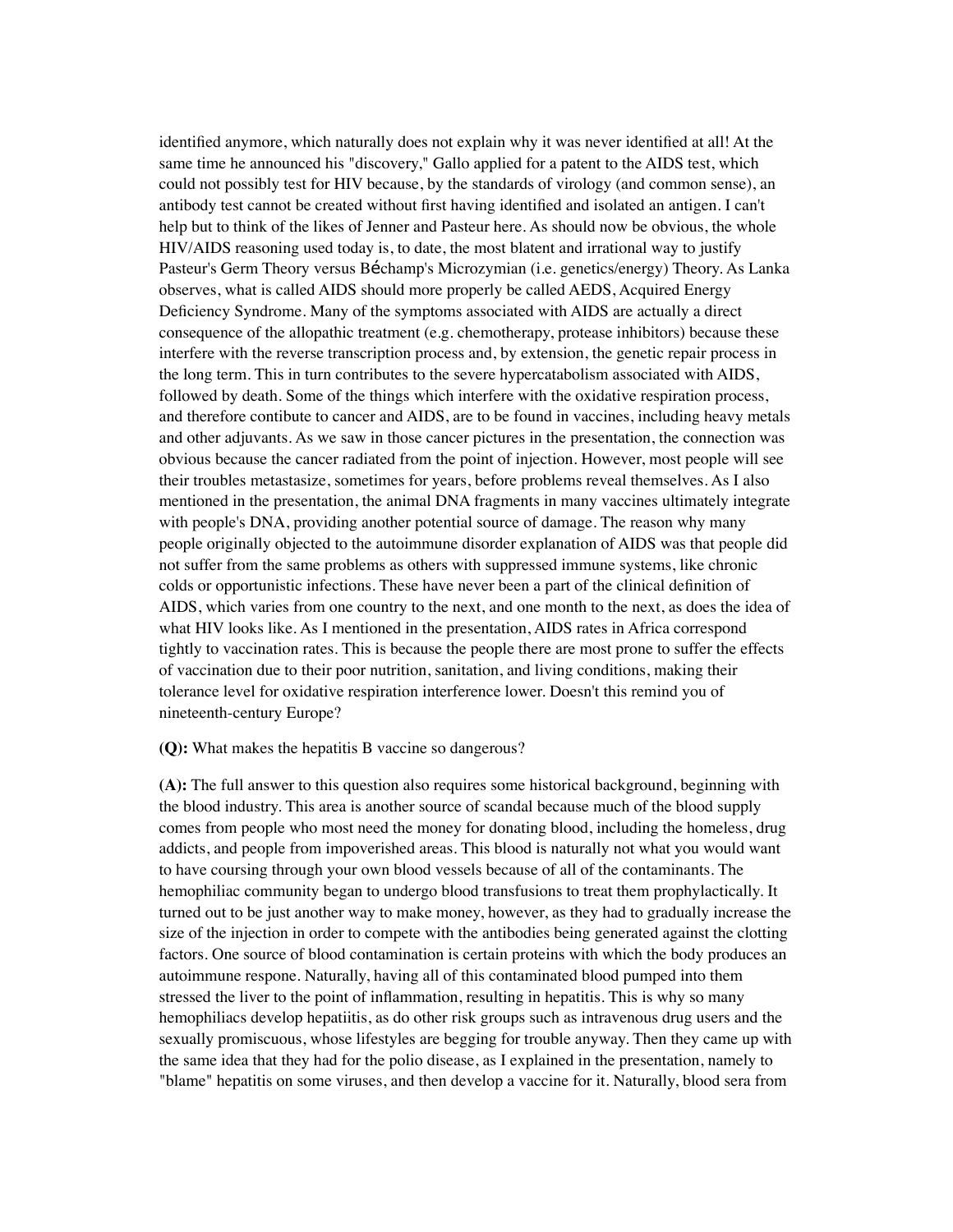identified anymore, which naturally does not explain why it was never identified at all! At the same time he announced his "discovery," Gallo applied for a patent to the AIDS test, which could not possibly test for HIV because, by the standards of virology (and common sense), an antibody test cannot be created without first having identified and isolated an antigen. I can't help but to think of the likes of Jenner and Pasteur here. As should now be obvious, the whole HIV/AIDS reasoning used today is, to date, the most blatent and irrational way to justify Pasteur's Germ Theory versus Béchamp's Microzymian (i.e. genetics/energy) Theory. As Lanka observes, what is called AIDS should more properly be called AEDS, Acquired Energy Deficiency Syndrome. Many of the symptoms associated with AIDS are actually a direct consequence of the allopathic treatment (e.g. chemotherapy, protease inhibitors) because these interfere with the reverse transcription process and, by extension, the genetic repair process in the long term. This in turn contributes to the severe hypercatabolism associated with AIDS, followed by death. Some of the things which interfere with the oxidative respiration process, and therefore contibute to cancer and AIDS, are to be found in vaccines, including heavy metals and other adjuvants. As we saw in those cancer pictures in the presentation, the connection was obvious because the cancer radiated from the point of injection. However, most people will see their troubles metastasize, sometimes for years, before problems reveal themselves. As I also mentioned in the presentation, the animal DNA fragments in many vaccines ultimately integrate with people's DNA, providing another potential source of damage. The reason why many people originally objected to the autoimmune disorder explanation of AIDS was that people did not suffer from the same problems as others with suppressed immune systems, like chronic colds or opportunistic infections. These have never been a part of the clinical definition of AIDS, which varies from one country to the next, and one month to the next, as does the idea of what HIV looks like. As I mentioned in the presentation, AIDS rates in Africa correspond tightly to vaccination rates. This is because the people there are most prone to suffer the effects of vaccination due to their poor nutrition, sanitation, and living conditions, making their tolerance level for oxidative respiration interference lower. Doesn't this remind you of nineteenth-century Europe?

#### **(Q):** What makes the hepatitis B vaccine so dangerous?

**(A):** The full answer to this question also requires some historical background, beginning with the blood industry. This area is another source of scandal because much of the blood supply comes from people who most need the money for donating blood, including the homeless, drug addicts, and people from impoverished areas. This blood is naturally not what you would want to have coursing through your own blood vessels because of all of the contaminants. The hemophiliac community began to undergo blood transfusions to treat them prophylactically. It turned out to be just another way to make money, however, as they had to gradually increase the size of the injection in order to compete with the antibodies being generated against the clotting factors. One source of blood contamination is certain proteins with which the body produces an autoimmune respone. Naturally, having all of this contaminated blood pumped into them stressed the liver to the point of inflammation, resulting in hepatitis. This is why so many hemophiliacs develop hepatiitis, as do other risk groups such as intravenous drug users and the sexually promiscuous, whose lifestyles are begging for trouble anyway. Then they came up with the same idea that they had for the polio disease, as I explained in the presentation, namely to "blame" hepatitis on some viruses, and then develop a vaccine for it. Naturally, blood sera from